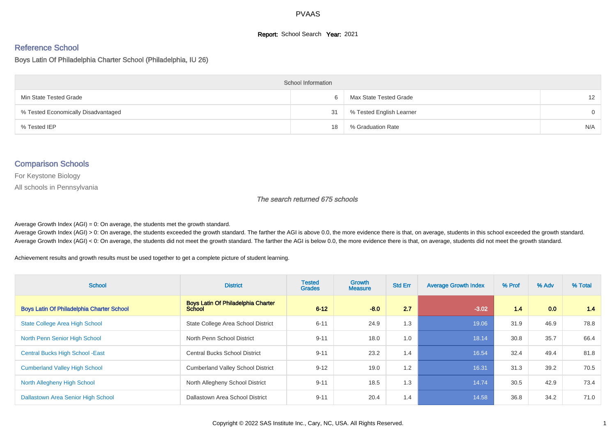## **Report:** School Search **Year:** 2021

# Reference School

Boys Latin Of Philadelphia Charter School (Philadelphia, IU 26)

| <b>School Information</b>           |    |                          |                   |  |  |  |  |  |
|-------------------------------------|----|--------------------------|-------------------|--|--|--|--|--|
| Min State Tested Grade              |    | Max State Tested Grade   | $12 \overline{ }$ |  |  |  |  |  |
| % Tested Economically Disadvantaged | 31 | % Tested English Learner | $\Omega$          |  |  |  |  |  |
| % Tested IEP                        | 18 | % Graduation Rate        | N/A               |  |  |  |  |  |

## Comparison Schools

For Keystone Biology

All schools in Pennsylvania

#### The search returned 675 schools

Average Growth Index  $(AGI) = 0$ : On average, the students met the growth standard.

Average Growth Index (AGI) > 0: On average, the students exceeded the growth standard. The farther the AGI is above 0.0, the more evidence there is that, on average, students in this school exceeded the growth standard. Average Growth Index (AGI) < 0: On average, the students did not meet the growth standard. The farther the AGI is below 0.0, the more evidence there is that, on average, students did not meet the growth standard.

Achievement results and growth results must be used together to get a complete picture of student learning.

| <b>School</b>                                    | <b>District</b>                                            | <b>Tested</b><br><b>Grades</b> | <b>Growth</b><br><b>Measure</b> | <b>Std Err</b> | <b>Average Growth Index</b> | % Prof | % Adv | % Total |
|--------------------------------------------------|------------------------------------------------------------|--------------------------------|---------------------------------|----------------|-----------------------------|--------|-------|---------|
| <b>Boys Latin Of Philadelphia Charter School</b> | <b>Boys Latin Of Philadelphia Charter</b><br><b>School</b> | $6 - 12$                       | $-8.0$                          | 2.7            | $-3.02$                     | 1.4    | 0.0   | 1.4     |
| State College Area High School                   | State College Area School District                         | $6 - 11$                       | 24.9                            | 1.3            | 19.06                       | 31.9   | 46.9  | 78.8    |
| North Penn Senior High School                    | North Penn School District                                 | $9 - 11$                       | 18.0                            | 1.0            | 18.14                       | 30.8   | 35.7  | 66.4    |
| <b>Central Bucks High School -East</b>           | <b>Central Bucks School District</b>                       | $9 - 11$                       | 23.2                            | 1.4            | 16.54                       | 32.4   | 49.4  | 81.8    |
| <b>Cumberland Valley High School</b>             | <b>Cumberland Valley School District</b>                   | $9 - 12$                       | 19.0                            | 1.2            | 16.31                       | 31.3   | 39.2  | 70.5    |
| North Allegheny High School                      | North Allegheny School District                            | $9 - 11$                       | 18.5                            | 1.3            | 14.74                       | 30.5   | 42.9  | 73.4    |
| Dallastown Area Senior High School               | Dallastown Area School District                            | $9 - 11$                       | 20.4                            | 1.4            | 14.58                       | 36.8   | 34.2  | 71.0    |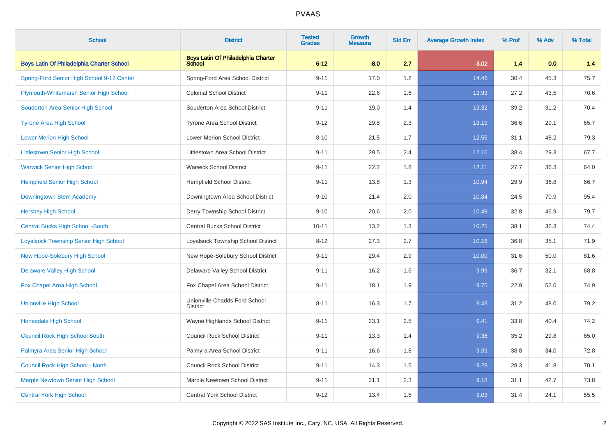| <b>School</b>                                    | <b>District</b>                                            | <b>Tested</b><br><b>Grades</b> | <b>Growth</b><br>Measure | <b>Std Err</b> | <b>Average Growth Index</b> | % Prof | % Adv | % Total |
|--------------------------------------------------|------------------------------------------------------------|--------------------------------|--------------------------|----------------|-----------------------------|--------|-------|---------|
| <b>Boys Latin Of Philadelphia Charter School</b> | <b>Boys Latin Of Philadelphia Charter</b><br><b>School</b> | $6 - 12$                       | $-8.0$                   | 2.7            | $-3.02$                     | 1.4    | 0.0   | 1.4     |
| Spring-Ford Senior High School 9-12 Center       | Spring-Ford Area School District                           | $9 - 11$                       | 17.0                     | 1.2            | 14.46                       | 30.4   | 45.3  | 75.7    |
| Plymouth-Whitemarsh Senior High School           | <b>Colonial School District</b>                            | $9 - 11$                       | 22.6                     | 1.6            | 13.93                       | 27.2   | 43.5  | 70.6    |
| Souderton Area Senior High School                | Souderton Area School District                             | $9 - 11$                       | 19.0                     | 1.4            | 13.32                       | 39.2   | 31.2  | 70.4    |
| <b>Tyrone Area High School</b>                   | <b>Tyrone Area School District</b>                         | $9 - 12$                       | 29.8                     | 2.3            | 13.19                       | 36.6   | 29.1  | 65.7    |
| <b>Lower Merion High School</b>                  | <b>Lower Merion School District</b>                        | $8 - 10$                       | 21.5                     | 1.7            | 12.55                       | 31.1   | 48.2  | 79.3    |
| <b>Littlestown Senior High School</b>            | Littlestown Area School District                           | $9 - 11$                       | 29.5                     | 2.4            | 12.16                       | 38.4   | 29.3  | 67.7    |
| <b>Warwick Senior High School</b>                | Warwick School District                                    | $9 - 11$                       | 22.2                     | 1.8            | 12.11                       | 27.7   | 36.3  | 64.0    |
| <b>Hempfield Senior High School</b>              | <b>Hempfield School District</b>                           | $9 - 11$                       | 13.8                     | 1.3            | 10.94                       | 29.9   | 36.8  | 66.7    |
| Downingtown Stem Academy                         | Downingtown Area School District                           | $9 - 10$                       | 21.4                     | 2.0            | 10.84                       | 24.5   | 70.9  | 95.4    |
| <b>Hershey High School</b>                       | Derry Township School District                             | $9 - 10$                       | 20.6                     | 2.0            | 10.49                       | 32.8   | 46.9  | 79.7    |
| Central Bucks High School -South                 | <b>Central Bucks School District</b>                       | $10 - 11$                      | 13.2                     | 1.3            | 10.25                       | 38.1   | 36.3  | 74.4    |
| Loyalsock Township Senior High School            | Loyalsock Township School District                         | $8 - 12$                       | 27.3                     | 2.7            | 10.16                       | 36.8   | 35.1  | 71.9    |
| New Hope-Solebury High School                    | New Hope-Solebury School District                          | $9 - 11$                       | 29.4                     | 2.9            | 10.00                       | 31.6   | 50.0  | 81.6    |
| <b>Delaware Valley High School</b>               | Delaware Valley School District                            | $9 - 11$                       | 16.2                     | 1.6            | 9.99                        | 36.7   | 32.1  | 68.8    |
| Fox Chapel Area High School                      | Fox Chapel Area School District                            | $9 - 11$                       | 18.1                     | 1.9            | 9.75                        | 22.9   | 52.0  | 74.9    |
| <b>Unionville High School</b>                    | Unionville-Chadds Ford School<br><b>District</b>           | $8 - 11$                       | 16.3                     | 1.7            | 9.43                        | 31.2   | 48.0  | 79.2    |
| <b>Honesdale High School</b>                     | Wayne Highlands School District                            | $9 - 11$                       | 23.1                     | 2.5            | 9.41                        | 33.8   | 40.4  | 74.2    |
| <b>Council Rock High School South</b>            | <b>Council Rock School District</b>                        | $9 - 11$                       | 13.3                     | 1.4            | 9.36                        | 35.2   | 29.8  | 65.0    |
| Palmyra Area Senior High School                  | Palmyra Area School District                               | $9 - 11$                       | 16.6                     | 1.8            | 9.33                        | 38.8   | 34.0  | 72.8    |
| Council Rock High School - North                 | <b>Council Rock School District</b>                        | $9 - 11$                       | 14.3                     | 1.5            | 9.28                        | 28.3   | 41.8  | 70.1    |
| <b>Marple Newtown Senior High School</b>         | Marple Newtown School District                             | $9 - 11$                       | 21.1                     | 2.3            | 9.18                        | 31.1   | 42.7  | 73.8    |
| <b>Central York High School</b>                  | Central York School District                               | $9 - 12$                       | 13.4                     | 1.5            | 9.03                        | 31.4   | 24.1  | 55.5    |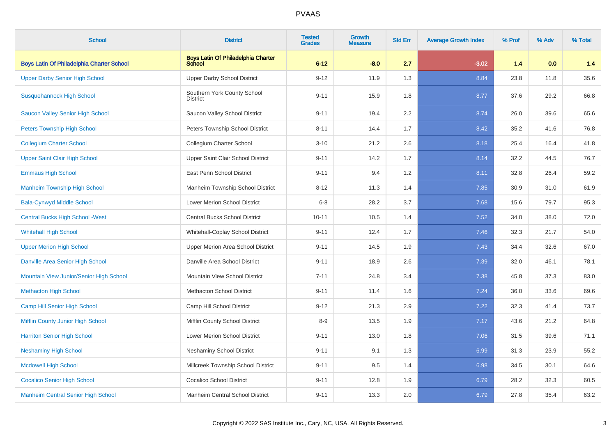| <b>School</b>                                    | <b>District</b>                                            | <b>Tested</b><br><b>Grades</b> | <b>Growth</b><br><b>Measure</b> | <b>Std Err</b> | <b>Average Growth Index</b> | % Prof | % Adv | % Total |
|--------------------------------------------------|------------------------------------------------------------|--------------------------------|---------------------------------|----------------|-----------------------------|--------|-------|---------|
| <b>Boys Latin Of Philadelphia Charter School</b> | <b>Boys Latin Of Philadelphia Charter</b><br><b>School</b> | $6 - 12$                       | $-8.0$                          | 2.7            | $-3.02$                     | 1.4    | 0.0   | 1.4     |
| <b>Upper Darby Senior High School</b>            | <b>Upper Darby School District</b>                         | $9 - 12$                       | 11.9                            | 1.3            | 8.84                        | 23.8   | 11.8  | 35.6    |
| Susquehannock High School                        | Southern York County School<br><b>District</b>             | $9 - 11$                       | 15.9                            | 1.8            | 8.77                        | 37.6   | 29.2  | 66.8    |
| <b>Saucon Valley Senior High School</b>          | Saucon Valley School District                              | $9 - 11$                       | 19.4                            | 2.2            | 8.74                        | 26.0   | 39.6  | 65.6    |
| <b>Peters Township High School</b>               | Peters Township School District                            | $8 - 11$                       | 14.4                            | 1.7            | 8.42                        | 35.2   | 41.6  | 76.8    |
| <b>Collegium Charter School</b>                  | Collegium Charter School                                   | $3 - 10$                       | 21.2                            | 2.6            | 8.18                        | 25.4   | 16.4  | 41.8    |
| <b>Upper Saint Clair High School</b>             | Upper Saint Clair School District                          | $9 - 11$                       | 14.2                            | 1.7            | 8.14                        | 32.2   | 44.5  | 76.7    |
| <b>Emmaus High School</b>                        | East Penn School District                                  | $9 - 11$                       | 9.4                             | 1.2            | 8.11                        | 32.8   | 26.4  | 59.2    |
| <b>Manheim Township High School</b>              | Manheim Township School District                           | $8 - 12$                       | 11.3                            | 1.4            | 7.85                        | 30.9   | 31.0  | 61.9    |
| <b>Bala-Cynwyd Middle School</b>                 | Lower Merion School District                               | $6 - 8$                        | 28.2                            | 3.7            | 7.68                        | 15.6   | 79.7  | 95.3    |
| <b>Central Bucks High School - West</b>          | <b>Central Bucks School District</b>                       | $10 - 11$                      | 10.5                            | 1.4            | 7.52                        | 34.0   | 38.0  | 72.0    |
| <b>Whitehall High School</b>                     | Whitehall-Coplay School District                           | $9 - 11$                       | 12.4                            | 1.7            | 7.46                        | 32.3   | 21.7  | 54.0    |
| <b>Upper Merion High School</b>                  | Upper Merion Area School District                          | $9 - 11$                       | 14.5                            | 1.9            | 7.43                        | 34.4   | 32.6  | 67.0    |
| Danville Area Senior High School                 | Danville Area School District                              | $9 - 11$                       | 18.9                            | 2.6            | 7.39                        | 32.0   | 46.1  | 78.1    |
| Mountain View Junior/Senior High School          | Mountain View School District                              | $7 - 11$                       | 24.8                            | 3.4            | 7.38                        | 45.8   | 37.3  | 83.0    |
| <b>Methacton High School</b>                     | <b>Methacton School District</b>                           | $9 - 11$                       | 11.4                            | 1.6            | 7.24                        | 36.0   | 33.6  | 69.6    |
| Camp Hill Senior High School                     | Camp Hill School District                                  | $9 - 12$                       | 21.3                            | 2.9            | 7.22                        | 32.3   | 41.4  | 73.7    |
| <b>Mifflin County Junior High School</b>         | Mifflin County School District                             | $8-9$                          | 13.5                            | 1.9            | 7.17                        | 43.6   | 21.2  | 64.8    |
| <b>Harriton Senior High School</b>               | <b>Lower Merion School District</b>                        | $9 - 11$                       | 13.0                            | 1.8            | 7.06                        | 31.5   | 39.6  | 71.1    |
| <b>Neshaminy High School</b>                     | Neshaminy School District                                  | $9 - 11$                       | 9.1                             | 1.3            | 6.99                        | 31.3   | 23.9  | 55.2    |
| <b>Mcdowell High School</b>                      | Millcreek Township School District                         | $9 - 11$                       | 9.5                             | 1.4            | 6.98                        | 34.5   | 30.1  | 64.6    |
| <b>Cocalico Senior High School</b>               | <b>Cocalico School District</b>                            | $9 - 11$                       | 12.8                            | 1.9            | 6.79                        | 28.2   | 32.3  | 60.5    |
| <b>Manheim Central Senior High School</b>        | Manheim Central School District                            | $9 - 11$                       | 13.3                            | 2.0            | 6.79                        | 27.8   | 35.4  | 63.2    |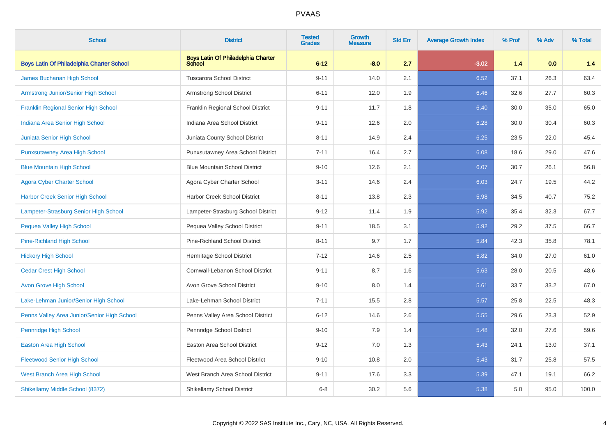| <b>School</b>                               | <b>District</b>                                            | <b>Tested</b><br><b>Grades</b> | Growth<br><b>Measure</b> | <b>Std Err</b> | <b>Average Growth Index</b> | % Prof | % Adv | % Total |
|---------------------------------------------|------------------------------------------------------------|--------------------------------|--------------------------|----------------|-----------------------------|--------|-------|---------|
| Boys Latin Of Philadelphia Charter School   | <b>Boys Latin Of Philadelphia Charter</b><br><b>School</b> | $6 - 12$                       | $-8.0$                   | 2.7            | $-3.02$                     | 1.4    | 0.0   | 1.4     |
| James Buchanan High School                  | <b>Tuscarora School District</b>                           | $9 - 11$                       | 14.0                     | 2.1            | 6.52                        | 37.1   | 26.3  | 63.4    |
| Armstrong Junior/Senior High School         | Armstrong School District                                  | $6 - 11$                       | 12.0                     | 1.9            | 6.46                        | 32.6   | 27.7  | 60.3    |
| Franklin Regional Senior High School        | Franklin Regional School District                          | $9 - 11$                       | 11.7                     | 1.8            | 6.40                        | 30.0   | 35.0  | 65.0    |
| Indiana Area Senior High School             | Indiana Area School District                               | $9 - 11$                       | 12.6                     | 2.0            | 6.28                        | 30.0   | 30.4  | 60.3    |
| Juniata Senior High School                  | Juniata County School District                             | $8 - 11$                       | 14.9                     | 2.4            | 6.25                        | 23.5   | 22.0  | 45.4    |
| <b>Punxsutawney Area High School</b>        | Punxsutawney Area School District                          | $7 - 11$                       | 16.4                     | 2.7            | 6.08                        | 18.6   | 29.0  | 47.6    |
| <b>Blue Mountain High School</b>            | <b>Blue Mountain School District</b>                       | $9 - 10$                       | 12.6                     | 2.1            | 6.07                        | 30.7   | 26.1  | 56.8    |
| <b>Agora Cyber Charter School</b>           | Agora Cyber Charter School                                 | $3 - 11$                       | 14.6                     | 2.4            | 6.03                        | 24.7   | 19.5  | 44.2    |
| Harbor Creek Senior High School             | Harbor Creek School District                               | $8 - 11$                       | 13.8                     | 2.3            | 5.98                        | 34.5   | 40.7  | 75.2    |
| Lampeter-Strasburg Senior High School       | Lampeter-Strasburg School District                         | $9 - 12$                       | 11.4                     | 1.9            | 5.92                        | 35.4   | 32.3  | 67.7    |
| <b>Pequea Valley High School</b>            | Pequea Valley School District                              | $9 - 11$                       | 18.5                     | 3.1            | 5.92                        | 29.2   | 37.5  | 66.7    |
| <b>Pine-Richland High School</b>            | <b>Pine-Richland School District</b>                       | $8 - 11$                       | 9.7                      | 1.7            | 5.84                        | 42.3   | 35.8  | 78.1    |
| <b>Hickory High School</b>                  | Hermitage School District                                  | $7 - 12$                       | 14.6                     | 2.5            | 5.82                        | 34.0   | 27.0  | 61.0    |
| <b>Cedar Crest High School</b>              | Cornwall-Lebanon School District                           | $9 - 11$                       | 8.7                      | 1.6            | 5.63                        | 28.0   | 20.5  | 48.6    |
| <b>Avon Grove High School</b>               | Avon Grove School District                                 | $9 - 10$                       | 8.0                      | 1.4            | 5.61                        | 33.7   | 33.2  | 67.0    |
| Lake-Lehman Junior/Senior High School       | Lake-Lehman School District                                | $7 - 11$                       | 15.5                     | 2.8            | 5.57                        | 25.8   | 22.5  | 48.3    |
| Penns Valley Area Junior/Senior High School | Penns Valley Area School District                          | $6 - 12$                       | 14.6                     | 2.6            | 5.55                        | 29.6   | 23.3  | 52.9    |
| Pennridge High School                       | Pennridge School District                                  | $9 - 10$                       | 7.9                      | 1.4            | 5.48                        | 32.0   | 27.6  | 59.6    |
| Easton Area High School                     | Easton Area School District                                | $9 - 12$                       | 7.0                      | 1.3            | 5.43                        | 24.1   | 13.0  | 37.1    |
| <b>Fleetwood Senior High School</b>         | Fleetwood Area School District                             | $9 - 10$                       | 10.8                     | 2.0            | 5.43                        | 31.7   | 25.8  | 57.5    |
| <b>West Branch Area High School</b>         | West Branch Area School District                           | $9 - 11$                       | 17.6                     | 3.3            | 5.39                        | 47.1   | 19.1  | 66.2    |
| Shikellamy Middle School (8372)             | <b>Shikellamy School District</b>                          | $6 - 8$                        | 30.2                     | 5.6            | 5.38                        | 5.0    | 95.0  | 100.0   |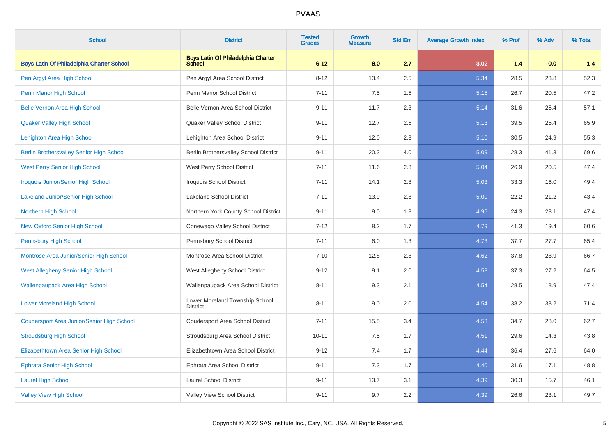| <b>School</b>                                     | <b>District</b>                                            | <b>Tested</b><br><b>Grades</b> | <b>Growth</b><br><b>Measure</b> | <b>Std Err</b> | <b>Average Growth Index</b> | % Prof | % Adv | % Total |
|---------------------------------------------------|------------------------------------------------------------|--------------------------------|---------------------------------|----------------|-----------------------------|--------|-------|---------|
| Boys Latin Of Philadelphia Charter School         | <b>Boys Latin Of Philadelphia Charter</b><br><b>School</b> | $6 - 12$                       | $-8.0$                          | 2.7            | $-3.02$                     | 1.4    | 0.0   | 1.4     |
| Pen Argyl Area High School                        | Pen Argyl Area School District                             | $8 - 12$                       | 13.4                            | 2.5            | 5.34                        | 28.5   | 23.8  | 52.3    |
| Penn Manor High School                            | Penn Manor School District                                 | $7 - 11$                       | 7.5                             | 1.5            | 5.15                        | 26.7   | 20.5  | 47.2    |
| <b>Belle Vernon Area High School</b>              | Belle Vernon Area School District                          | $9 - 11$                       | 11.7                            | 2.3            | 5.14                        | 31.6   | 25.4  | 57.1    |
| <b>Quaker Valley High School</b>                  | Quaker Valley School District                              | $9 - 11$                       | 12.7                            | 2.5            | 5.13                        | 39.5   | 26.4  | 65.9    |
| Lehighton Area High School                        | Lehighton Area School District                             | $9 - 11$                       | 12.0                            | 2.3            | 5.10                        | 30.5   | 24.9  | 55.3    |
| <b>Berlin Brothersvalley Senior High School</b>   | Berlin Brothersvalley School District                      | $9 - 11$                       | 20.3                            | 4.0            | 5.09                        | 28.3   | 41.3  | 69.6    |
| <b>West Perry Senior High School</b>              | West Perry School District                                 | $7 - 11$                       | 11.6                            | 2.3            | 5.04                        | 26.9   | 20.5  | 47.4    |
| <b>Iroquois Junior/Senior High School</b>         | Iroquois School District                                   | $7 - 11$                       | 14.1                            | 2.8            | 5.03                        | 33.3   | 16.0  | 49.4    |
| <b>Lakeland Junior/Senior High School</b>         | <b>Lakeland School District</b>                            | $7 - 11$                       | 13.9                            | 2.8            | 5.00                        | 22.2   | 21.2  | 43.4    |
| <b>Northern High School</b>                       | Northern York County School District                       | $9 - 11$                       | 9.0                             | 1.8            | 4.95                        | 24.3   | 23.1  | 47.4    |
| <b>New Oxford Senior High School</b>              | Conewago Valley School District                            | $7 - 12$                       | 8.2                             | 1.7            | 4.79                        | 41.3   | 19.4  | 60.6    |
| <b>Pennsbury High School</b>                      | Pennsbury School District                                  | $7 - 11$                       | 6.0                             | 1.3            | 4.73                        | 37.7   | 27.7  | 65.4    |
| Montrose Area Junior/Senior High School           | Montrose Area School District                              | $7 - 10$                       | 12.8                            | 2.8            | 4.62                        | 37.8   | 28.9  | 66.7    |
| West Allegheny Senior High School                 | West Allegheny School District                             | $9 - 12$                       | 9.1                             | 2.0            | 4.58                        | 37.3   | 27.2  | 64.5    |
| <b>Wallenpaupack Area High School</b>             | Wallenpaupack Area School District                         | $8 - 11$                       | 9.3                             | 2.1            | 4.54                        | 28.5   | 18.9  | 47.4    |
| <b>Lower Moreland High School</b>                 | Lower Moreland Township School<br><b>District</b>          | $8 - 11$                       | 9.0                             | 2.0            | 4.54                        | 38.2   | 33.2  | 71.4    |
| <b>Coudersport Area Junior/Senior High School</b> | <b>Coudersport Area School District</b>                    | $7 - 11$                       | 15.5                            | 3.4            | 4.53                        | 34.7   | 28.0  | 62.7    |
| <b>Stroudsburg High School</b>                    | Stroudsburg Area School District                           | $10 - 11$                      | 7.5                             | 1.7            | 4.51                        | 29.6   | 14.3  | 43.8    |
| Elizabethtown Area Senior High School             | Elizabethtown Area School District                         | $9 - 12$                       | 7.4                             | 1.7            | 4.44                        | 36.4   | 27.6  | 64.0    |
| <b>Ephrata Senior High School</b>                 | Ephrata Area School District                               | $9 - 11$                       | 7.3                             | 1.7            | 4.40                        | 31.6   | 17.1  | 48.8    |
| <b>Laurel High School</b>                         | <b>Laurel School District</b>                              | $9 - 11$                       | 13.7                            | 3.1            | 4.39                        | 30.3   | 15.7  | 46.1    |
| <b>Valley View High School</b>                    | Valley View School District                                | $9 - 11$                       | 9.7                             | 2.2            | 4.39                        | 26.6   | 23.1  | 49.7    |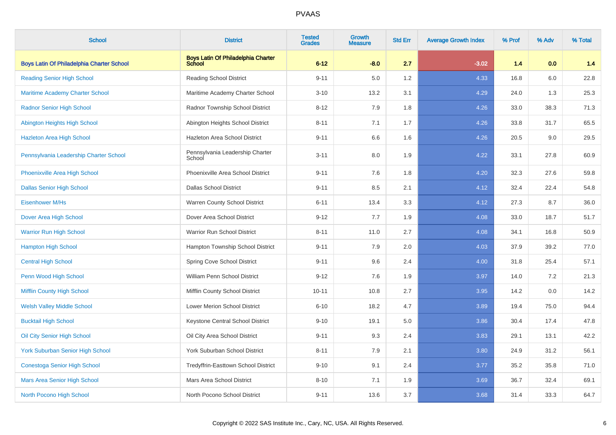| <b>School</b>                             | <b>District</b>                              | <b>Tested</b><br><b>Grades</b> | Growth<br><b>Measure</b> | <b>Std Err</b> | <b>Average Growth Index</b> | % Prof | % Adv | % Total |
|-------------------------------------------|----------------------------------------------|--------------------------------|--------------------------|----------------|-----------------------------|--------|-------|---------|
| Boys Latin Of Philadelphia Charter School | Boys Latin Of Philadelphia Charter<br>School | $6 - 12$                       | $-8.0$                   | 2.7            | $-3.02$                     | 1.4    | 0.0   | 1.4     |
| <b>Reading Senior High School</b>         | <b>Reading School District</b>               | $9 - 11$                       | 5.0                      | 1.2            | 4.33                        | 16.8   | 6.0   | 22.8    |
| Maritime Academy Charter School           | Maritime Academy Charter School              | $3 - 10$                       | 13.2                     | 3.1            | 4.29                        | 24.0   | 1.3   | 25.3    |
| <b>Radnor Senior High School</b>          | Radnor Township School District              | $8 - 12$                       | 7.9                      | 1.8            | 4.26                        | 33.0   | 38.3  | 71.3    |
| Abington Heights High School              | Abington Heights School District             | $8 - 11$                       | 7.1                      | 1.7            | 4.26                        | 33.8   | 31.7  | 65.5    |
| Hazleton Area High School                 | <b>Hazleton Area School District</b>         | $9 - 11$                       | 6.6                      | 1.6            | 4.26                        | 20.5   | 9.0   | 29.5    |
| Pennsylvania Leadership Charter School    | Pennsylvania Leadership Charter<br>School    | $3 - 11$                       | 8.0                      | 1.9            | 4.22                        | 33.1   | 27.8  | 60.9    |
| Phoenixville Area High School             | Phoenixville Area School District            | $9 - 11$                       | 7.6                      | 1.8            | 4.20                        | 32.3   | 27.6  | 59.8    |
| <b>Dallas Senior High School</b>          | <b>Dallas School District</b>                | $9 - 11$                       | 8.5                      | 2.1            | 4.12                        | 32.4   | 22.4  | 54.8    |
| <b>Eisenhower M/Hs</b>                    | Warren County School District                | $6 - 11$                       | 13.4                     | 3.3            | 4.12                        | 27.3   | 8.7   | 36.0    |
| Dover Area High School                    | Dover Area School District                   | $9 - 12$                       | 7.7                      | 1.9            | 4.08                        | 33.0   | 18.7  | 51.7    |
| <b>Warrior Run High School</b>            | <b>Warrior Run School District</b>           | $8 - 11$                       | 11.0                     | 2.7            | 4.08                        | 34.1   | 16.8  | 50.9    |
| <b>Hampton High School</b>                | Hampton Township School District             | $9 - 11$                       | 7.9                      | 2.0            | 4.03                        | 37.9   | 39.2  | 77.0    |
| <b>Central High School</b>                | Spring Cove School District                  | $9 - 11$                       | 9.6                      | 2.4            | 4.00                        | 31.8   | 25.4  | 57.1    |
| Penn Wood High School                     | William Penn School District                 | $9 - 12$                       | 7.6                      | 1.9            | 3.97                        | 14.0   | 7.2   | 21.3    |
| <b>Mifflin County High School</b>         | Mifflin County School District               | $10 - 11$                      | 10.8                     | 2.7            | 3.95                        | 14.2   | 0.0   | 14.2    |
| <b>Welsh Valley Middle School</b>         | Lower Merion School District                 | $6 - 10$                       | 18.2                     | 4.7            | 3.89                        | 19.4   | 75.0  | 94.4    |
| <b>Bucktail High School</b>               | Keystone Central School District             | $9 - 10$                       | 19.1                     | 5.0            | 3.86                        | 30.4   | 17.4  | 47.8    |
| Oil City Senior High School               | Oil City Area School District                | $9 - 11$                       | 9.3                      | 2.4            | 3.83                        | 29.1   | 13.1  | 42.2    |
| York Suburban Senior High School          | York Suburban School District                | $8 - 11$                       | 7.9                      | 2.1            | 3.80                        | 24.9   | 31.2  | 56.1    |
| <b>Conestoga Senior High School</b>       | Tredyffrin-Easttown School District          | $9 - 10$                       | 9.1                      | 2.4            | 3.77                        | 35.2   | 35.8  | 71.0    |
| <b>Mars Area Senior High School</b>       | Mars Area School District                    | $8 - 10$                       | 7.1                      | 1.9            | 3.69                        | 36.7   | 32.4  | 69.1    |
| North Pocono High School                  | North Pocono School District                 | $9 - 11$                       | 13.6                     | 3.7            | 3.68                        | 31.4   | 33.3  | 64.7    |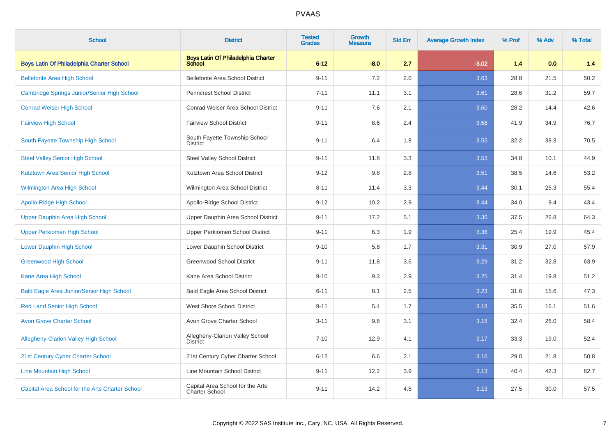| <b>School</b>                                    | <b>District</b>                                            | <b>Tested</b><br><b>Grades</b> | <b>Growth</b><br><b>Measure</b> | <b>Std Err</b> | <b>Average Growth Index</b> | % Prof | % Adv | % Total |
|--------------------------------------------------|------------------------------------------------------------|--------------------------------|---------------------------------|----------------|-----------------------------|--------|-------|---------|
| <b>Boys Latin Of Philadelphia Charter School</b> | <b>Boys Latin Of Philadelphia Charter</b><br><b>School</b> | $6 - 12$                       | $-8.0$                          | 2.7            | $-3.02$                     | 1.4    | 0.0   | 1.4     |
| <b>Bellefonte Area High School</b>               | <b>Bellefonte Area School District</b>                     | $9 - 11$                       | 7.2                             | 2.0            | 3.63                        | 28.8   | 21.5  | 50.2    |
| Cambridge Springs Junior/Senior High School      | <b>Penncrest School District</b>                           | $7 - 11$                       | 11.1                            | 3.1            | 3.61                        | 28.6   | 31.2  | 59.7    |
| <b>Conrad Weiser High School</b>                 | Conrad Weiser Area School District                         | $9 - 11$                       | 7.6                             | 2.1            | 3.60                        | 28.2   | 14.4  | 42.6    |
| <b>Fairview High School</b>                      | <b>Fairview School District</b>                            | $9 - 11$                       | 8.6                             | 2.4            | 3.58                        | 41.9   | 34.9  | 76.7    |
| South Fayette Township High School               | South Fayette Township School<br><b>District</b>           | $9 - 11$                       | 6.4                             | 1.8            | 3.55                        | 32.2   | 38.3  | 70.5    |
| <b>Steel Valley Senior High School</b>           | <b>Steel Valley School District</b>                        | $9 - 11$                       | 11.8                            | 3.3            | 3.53                        | 34.8   | 10.1  | 44.9    |
| Kutztown Area Senior High School                 | Kutztown Area School District                              | $9 - 12$                       | 9.8                             | 2.8            | 3.51                        | 38.5   | 14.6  | 53.2    |
| Wilmington Area High School                      | Wilmington Area School District                            | $8 - 11$                       | 11.4                            | 3.3            | 3.44                        | 30.1   | 25.3  | 55.4    |
| <b>Apollo-Ridge High School</b>                  | Apollo-Ridge School District                               | $9 - 12$                       | 10.2                            | 2.9            | 3.44                        | 34.0   | 9.4   | 43.4    |
| <b>Upper Dauphin Area High School</b>            | Upper Dauphin Area School District                         | $9 - 11$                       | 17.2                            | 5.1            | 3.36                        | 37.5   | 26.8  | 64.3    |
| <b>Upper Perkiomen High School</b>               | Upper Perkiomen School District                            | $9 - 11$                       | 6.3                             | 1.9            | 3.36                        | 25.4   | 19.9  | 45.4    |
| <b>Lower Dauphin High School</b>                 | Lower Dauphin School District                              | $9 - 10$                       | 5.8                             | 1.7            | 3.31                        | 30.9   | 27.0  | 57.9    |
| <b>Greenwood High School</b>                     | <b>Greenwood School District</b>                           | $9 - 11$                       | 11.8                            | 3.6            | 3.29                        | 31.2   | 32.8  | 63.9    |
| Kane Area High School                            | Kane Area School District                                  | $9 - 10$                       | 9.3                             | 2.9            | 3.25                        | 31.4   | 19.8  | 51.2    |
| <b>Bald Eagle Area Junior/Senior High School</b> | <b>Bald Eagle Area School District</b>                     | $6 - 11$                       | 8.1                             | 2.5            | 3.23                        | 31.6   | 15.6  | 47.3    |
| <b>Red Land Senior High School</b>               | <b>West Shore School District</b>                          | $9 - 11$                       | 5.4                             | 1.7            | 3.18                        | 35.5   | 16.1  | 51.6    |
| <b>Avon Grove Charter School</b>                 | Avon Grove Charter School                                  | $3 - 11$                       | 9.8                             | 3.1            | 3.18                        | 32.4   | 26.0  | 58.4    |
| <b>Allegheny-Clarion Valley High School</b>      | Allegheny-Clarion Valley School<br><b>District</b>         | $7 - 10$                       | 12.9                            | 4.1            | 3.17                        | 33.3   | 19.0  | 52.4    |
| 21st Century Cyber Charter School                | 21st Century Cyber Charter School                          | $6 - 12$                       | 6.6                             | 2.1            | 3.16                        | 29.0   | 21.8  | 50.8    |
| <b>Line Mountain High School</b>                 | Line Mountain School District                              | $9 - 11$                       | 12.2                            | 3.9            | 3.13                        | 40.4   | 42.3  | 82.7    |
| Capital Area School for the Arts Charter School  | Capital Area School for the Arts<br>Charter School         | $9 - 11$                       | 14.2                            | 4.5            | 3.13                        | 27.5   | 30.0  | 57.5    |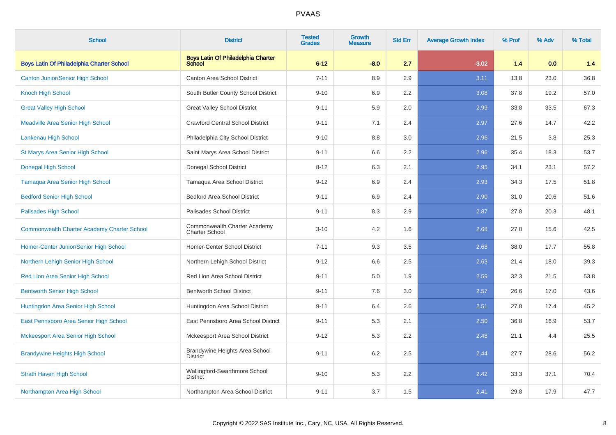| <b>School</b>                                      | <b>District</b>                                            | <b>Tested</b><br><b>Grades</b> | <b>Growth</b><br><b>Measure</b> | <b>Std Err</b> | <b>Average Growth Index</b> | % Prof | % Adv | % Total |
|----------------------------------------------------|------------------------------------------------------------|--------------------------------|---------------------------------|----------------|-----------------------------|--------|-------|---------|
| <b>Boys Latin Of Philadelphia Charter School</b>   | <b>Boys Latin Of Philadelphia Charter</b><br><b>School</b> | $6 - 12$                       | $-8.0$                          | 2.7            | $-3.02$                     | 1.4    | 0.0   | 1.4     |
| <b>Canton Junior/Senior High School</b>            | Canton Area School District                                | $7 - 11$                       | 8.9                             | 2.9            | 3.11                        | 13.8   | 23.0  | 36.8    |
| <b>Knoch High School</b>                           | South Butler County School District                        | $9 - 10$                       | 6.9                             | 2.2            | 3.08                        | 37.8   | 19.2  | 57.0    |
| <b>Great Valley High School</b>                    | <b>Great Valley School District</b>                        | $9 - 11$                       | 5.9                             | 2.0            | 2.99                        | 33.8   | 33.5  | 67.3    |
| <b>Meadville Area Senior High School</b>           | <b>Crawford Central School District</b>                    | $9 - 11$                       | 7.1                             | 2.4            | 2.97                        | 27.6   | 14.7  | 42.2    |
| Lankenau High School                               | Philadelphia City School District                          | $9 - 10$                       | 8.8                             | 3.0            | 2.96                        | 21.5   | 3.8   | 25.3    |
| St Marys Area Senior High School                   | Saint Marys Area School District                           | $9 - 11$                       | 6.6                             | 2.2            | 2.96                        | 35.4   | 18.3  | 53.7    |
| <b>Donegal High School</b>                         | Donegal School District                                    | $8 - 12$                       | 6.3                             | 2.1            | 2.95                        | 34.1   | 23.1  | 57.2    |
| Tamaqua Area Senior High School                    | Tamagua Area School District                               | $9 - 12$                       | 6.9                             | 2.4            | 2.93                        | 34.3   | 17.5  | 51.8    |
| <b>Bedford Senior High School</b>                  | <b>Bedford Area School District</b>                        | $9 - 11$                       | 6.9                             | 2.4            | 2.90                        | 31.0   | 20.6  | 51.6    |
| <b>Palisades High School</b>                       | Palisades School District                                  | $9 - 11$                       | 8.3                             | 2.9            | 2.87                        | 27.8   | 20.3  | 48.1    |
| <b>Commonwealth Charter Academy Charter School</b> | Commonwealth Charter Academy<br><b>Charter School</b>      | $3 - 10$                       | 4.2                             | 1.6            | 2.68                        | 27.0   | 15.6  | 42.5    |
| Homer-Center Junior/Senior High School             | <b>Homer-Center School District</b>                        | $7 - 11$                       | 9.3                             | 3.5            | 2.68                        | 38.0   | 17.7  | 55.8    |
| Northern Lehigh Senior High School                 | Northern Lehigh School District                            | $9 - 12$                       | 6.6                             | 2.5            | 2.63                        | 21.4   | 18.0  | 39.3    |
| Red Lion Area Senior High School                   | Red Lion Area School District                              | $9 - 11$                       | 5.0                             | 1.9            | 2.59                        | 32.3   | 21.5  | 53.8    |
| <b>Bentworth Senior High School</b>                | <b>Bentworth School District</b>                           | $9 - 11$                       | 7.6                             | 3.0            | 2.57                        | 26.6   | 17.0  | 43.6    |
| Huntingdon Area Senior High School                 | Huntingdon Area School District                            | $9 - 11$                       | 6.4                             | 2.6            | 2.51                        | 27.8   | 17.4  | 45.2    |
| East Pennsboro Area Senior High School             | East Pennsboro Area School District                        | $9 - 11$                       | 5.3                             | 2.1            | 2.50                        | 36.8   | 16.9  | 53.7    |
| <b>Mckeesport Area Senior High School</b>          | Mckeesport Area School District                            | $9 - 12$                       | 5.3                             | 2.2            | 2.48                        | 21.1   | 4.4   | 25.5    |
| <b>Brandywine Heights High School</b>              | Brandywine Heights Area School<br><b>District</b>          | $9 - 11$                       | 6.2                             | 2.5            | 2.44                        | 27.7   | 28.6  | 56.2    |
| <b>Strath Haven High School</b>                    | Wallingford-Swarthmore School<br><b>District</b>           | $9 - 10$                       | 5.3                             | 2.2            | 2.42                        | 33.3   | 37.1  | 70.4    |
| Northampton Area High School                       | Northampton Area School District                           | $9 - 11$                       | 3.7                             | 1.5            | 2.41                        | 29.8   | 17.9  | 47.7    |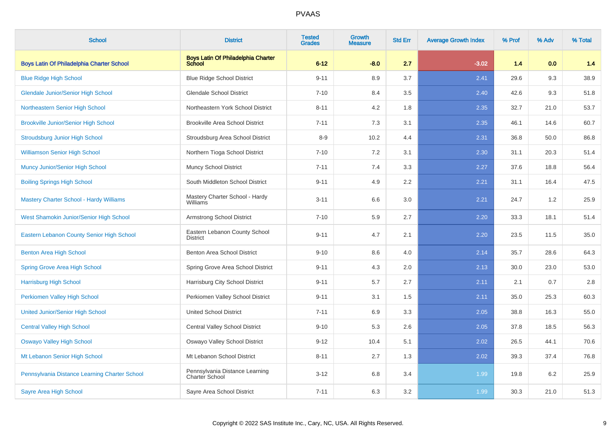| <b>School</b>                                    | <b>District</b>                                            | <b>Tested</b><br><b>Grades</b> | Growth<br><b>Measure</b> | <b>Std Err</b> | <b>Average Growth Index</b> | % Prof | % Adv | % Total |
|--------------------------------------------------|------------------------------------------------------------|--------------------------------|--------------------------|----------------|-----------------------------|--------|-------|---------|
| <b>Boys Latin Of Philadelphia Charter School</b> | <b>Boys Latin Of Philadelphia Charter</b><br><b>School</b> | $6 - 12$                       | $-8.0$                   | 2.7            | $-3.02$                     | 1.4    | 0.0   | 1.4     |
| <b>Blue Ridge High School</b>                    | <b>Blue Ridge School District</b>                          | $9 - 11$                       | 8.9                      | 3.7            | 2.41                        | 29.6   | 9.3   | 38.9    |
| <b>Glendale Junior/Senior High School</b>        | <b>Glendale School District</b>                            | $7 - 10$                       | 8.4                      | 3.5            | 2.40                        | 42.6   | 9.3   | 51.8    |
| Northeastern Senior High School                  | Northeastern York School District                          | $8 - 11$                       | 4.2                      | 1.8            | 2.35                        | 32.7   | 21.0  | 53.7    |
| <b>Brookville Junior/Senior High School</b>      | <b>Brookville Area School District</b>                     | $7 - 11$                       | 7.3                      | 3.1            | 2.35                        | 46.1   | 14.6  | 60.7    |
| <b>Stroudsburg Junior High School</b>            | Stroudsburg Area School District                           | $8 - 9$                        | 10.2                     | 4.4            | 2.31                        | 36.8   | 50.0  | 86.8    |
| <b>Williamson Senior High School</b>             | Northern Tioga School District                             | $7 - 10$                       | 7.2                      | 3.1            | 2.30                        | 31.1   | 20.3  | 51.4    |
| <b>Muncy Junior/Senior High School</b>           | <b>Muncy School District</b>                               | $7 - 11$                       | 7.4                      | 3.3            | 2.27                        | 37.6   | 18.8  | 56.4    |
| <b>Boiling Springs High School</b>               | South Middleton School District                            | $9 - 11$                       | 4.9                      | 2.2            | 2.21                        | 31.1   | 16.4  | 47.5    |
| Mastery Charter School - Hardy Williams          | Mastery Charter School - Hardy<br>Williams                 | $3 - 11$                       | 6.6                      | 3.0            | 2.21                        | 24.7   | 1.2   | 25.9    |
| West Shamokin Junior/Senior High School          | Armstrong School District                                  | $7 - 10$                       | 5.9                      | 2.7            | 2.20                        | 33.3   | 18.1  | 51.4    |
| Eastern Lebanon County Senior High School        | Eastern Lebanon County School<br><b>District</b>           | $9 - 11$                       | 4.7                      | 2.1            | 2.20                        | 23.5   | 11.5  | 35.0    |
| Benton Area High School                          | <b>Benton Area School District</b>                         | $9 - 10$                       | 8.6                      | 4.0            | 2.14                        | 35.7   | 28.6  | 64.3    |
| Spring Grove Area High School                    | Spring Grove Area School District                          | $9 - 11$                       | 4.3                      | 2.0            | 2.13                        | 30.0   | 23.0  | 53.0    |
| <b>Harrisburg High School</b>                    | Harrisburg City School District                            | $9 - 11$                       | 5.7                      | 2.7            | 2.11                        | 2.1    | 0.7   | 2.8     |
| Perkiomen Valley High School                     | Perkiomen Valley School District                           | $9 - 11$                       | 3.1                      | 1.5            | 2.11                        | 35.0   | 25.3  | 60.3    |
| <b>United Junior/Senior High School</b>          | <b>United School District</b>                              | $7 - 11$                       | 6.9                      | 3.3            | 2.05                        | 38.8   | 16.3  | 55.0    |
| <b>Central Valley High School</b>                | Central Valley School District                             | $9 - 10$                       | 5.3                      | 2.6            | 2.05                        | 37.8   | 18.5  | 56.3    |
| <b>Oswayo Valley High School</b>                 | Oswayo Valley School District                              | $9 - 12$                       | 10.4                     | 5.1            | 2.02                        | 26.5   | 44.1  | 70.6    |
| Mt Lebanon Senior High School                    | Mt Lebanon School District                                 | $8 - 11$                       | 2.7                      | 1.3            | 2.02                        | 39.3   | 37.4  | 76.8    |
| Pennsylvania Distance Learning Charter School    | Pennsylvania Distance Learning<br>Charter School           | $3 - 12$                       | 6.8                      | 3.4            | 1.99                        | 19.8   | 6.2   | 25.9    |
| Sayre Area High School                           | Sayre Area School District                                 | $7 - 11$                       | 6.3                      | 3.2            | 1.99                        | 30.3   | 21.0  | 51.3    |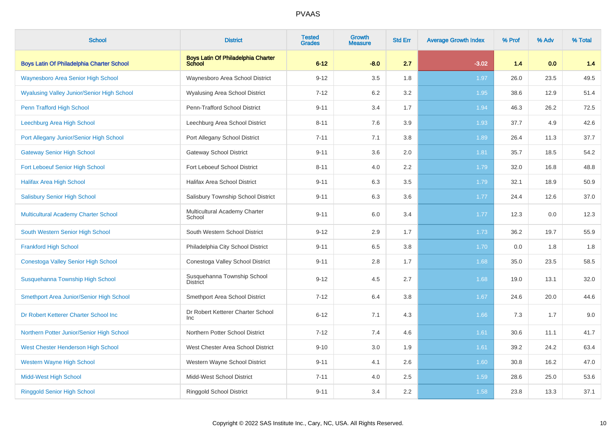| <b>School</b>                                     | <b>District</b>                                     | <b>Tested</b><br><b>Grades</b> | <b>Growth</b><br><b>Measure</b> | <b>Std Err</b> | <b>Average Growth Index</b> | % Prof | % Adv | % Total |
|---------------------------------------------------|-----------------------------------------------------|--------------------------------|---------------------------------|----------------|-----------------------------|--------|-------|---------|
| <b>Boys Latin Of Philadelphia Charter School</b>  | <b>Boys Latin Of Philadelphia Charter</b><br>School | $6 - 12$                       | $-8.0$                          | 2.7            | $-3.02$                     | 1.4    | 0.0   | 1.4     |
| <b>Waynesboro Area Senior High School</b>         | Waynesboro Area School District                     | $9 - 12$                       | 3.5                             | 1.8            | 1.97                        | 26.0   | 23.5  | 49.5    |
| <b>Wyalusing Valley Junior/Senior High School</b> | <b>Wyalusing Area School District</b>               | $7 - 12$                       | 6.2                             | 3.2            | 1.95                        | 38.6   | 12.9  | 51.4    |
| Penn Trafford High School                         | Penn-Trafford School District                       | $9 - 11$                       | 3.4                             | 1.7            | 1.94                        | 46.3   | 26.2  | 72.5    |
| Leechburg Area High School                        | Leechburg Area School District                      | $8 - 11$                       | 7.6                             | 3.9            | 1.93                        | 37.7   | 4.9   | 42.6    |
| Port Allegany Junior/Senior High School           | Port Allegany School District                       | $7 - 11$                       | 7.1                             | 3.8            | 1.89                        | 26.4   | 11.3  | 37.7    |
| <b>Gateway Senior High School</b>                 | <b>Gateway School District</b>                      | $9 - 11$                       | 3.6                             | 2.0            | 1.81                        | 35.7   | 18.5  | 54.2    |
| Fort Leboeuf Senior High School                   | Fort Leboeuf School District                        | $8 - 11$                       | 4.0                             | 2.2            | 1.79                        | 32.0   | 16.8  | 48.8    |
| <b>Halifax Area High School</b>                   | <b>Halifax Area School District</b>                 | $9 - 11$                       | 6.3                             | 3.5            | 1.79                        | 32.1   | 18.9  | 50.9    |
| <b>Salisbury Senior High School</b>               | Salisbury Township School District                  | $9 - 11$                       | 6.3                             | 3.6            | 1.77                        | 24.4   | 12.6  | 37.0    |
| Multicultural Academy Charter School              | Multicultural Academy Charter<br>School             | $9 - 11$                       | 6.0                             | 3.4            | 1.77                        | 12.3   | 0.0   | 12.3    |
| South Western Senior High School                  | South Western School District                       | $9 - 12$                       | 2.9                             | 1.7            | 1.73                        | 36.2   | 19.7  | 55.9    |
| <b>Frankford High School</b>                      | Philadelphia City School District                   | $9 - 11$                       | 6.5                             | 3.8            | 1.70                        | 0.0    | 1.8   | 1.8     |
| Conestoga Valley Senior High School               | Conestoga Valley School District                    | $9 - 11$                       | 2.8                             | 1.7            | 1.68                        | 35.0   | 23.5  | 58.5    |
| Susquehanna Township High School                  | Susquehanna Township School<br><b>District</b>      | $9 - 12$                       | 4.5                             | 2.7            | 1.68                        | 19.0   | 13.1  | 32.0    |
| Smethport Area Junior/Senior High School          | Smethport Area School District                      | $7 - 12$                       | 6.4                             | 3.8            | 1.67                        | 24.6   | 20.0  | 44.6    |
| Dr Robert Ketterer Charter School Inc             | Dr Robert Ketterer Charter School<br>Inc            | $6 - 12$                       | 7.1                             | 4.3            | 1.66                        | 7.3    | 1.7   | 9.0     |
| Northern Potter Junior/Senior High School         | Northern Potter School District                     | $7 - 12$                       | 7.4                             | 4.6            | 1.61                        | 30.6   | 11.1  | 41.7    |
| West Chester Henderson High School                | West Chester Area School District                   | $9 - 10$                       | 3.0                             | 1.9            | 1.61                        | 39.2   | 24.2  | 63.4    |
| <b>Western Wayne High School</b>                  | Western Wayne School District                       | $9 - 11$                       | 4.1                             | 2.6            | 1.60                        | 30.8   | 16.2  | 47.0    |
| <b>Midd-West High School</b>                      | Midd-West School District                           | $7 - 11$                       | 4.0                             | 2.5            | 1.59                        | 28.6   | 25.0  | 53.6    |
| <b>Ringgold Senior High School</b>                | Ringgold School District                            | $9 - 11$                       | 3.4                             | 2.2            | 1.58                        | 23.8   | 13.3  | 37.1    |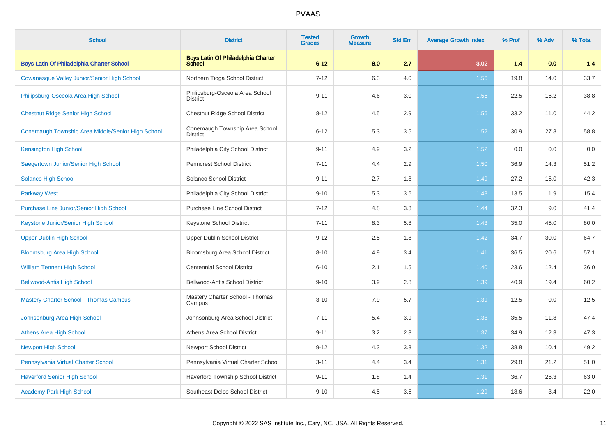| <b>School</b>                                      | <b>District</b>                                            | <b>Tested</b><br><b>Grades</b> | Growth<br><b>Measure</b> | <b>Std Err</b> | <b>Average Growth Index</b> | % Prof | % Adv | % Total |
|----------------------------------------------------|------------------------------------------------------------|--------------------------------|--------------------------|----------------|-----------------------------|--------|-------|---------|
| <b>Boys Latin Of Philadelphia Charter School</b>   | <b>Boys Latin Of Philadelphia Charter</b><br><b>School</b> | $6 - 12$                       | $-8.0$                   | 2.7            | $-3.02$                     | 1.4    | 0.0   | 1.4     |
| <b>Cowanesque Valley Junior/Senior High School</b> | Northern Tioga School District                             | $7 - 12$                       | 6.3                      | 4.0            | 1.56                        | 19.8   | 14.0  | 33.7    |
| Philipsburg-Osceola Area High School               | Philipsburg-Osceola Area School<br><b>District</b>         | $9 - 11$                       | 4.6                      | 3.0            | 1.56                        | 22.5   | 16.2  | 38.8    |
| <b>Chestnut Ridge Senior High School</b>           | <b>Chestnut Ridge School District</b>                      | $8 - 12$                       | 4.5                      | 2.9            | 1.56                        | 33.2   | 11.0  | 44.2    |
| Conemaugh Township Area Middle/Senior High School  | Conemaugh Township Area School<br><b>District</b>          | $6 - 12$                       | 5.3                      | 3.5            | 1.52                        | 30.9   | 27.8  | 58.8    |
| <b>Kensington High School</b>                      | Philadelphia City School District                          | $9 - 11$                       | 4.9                      | 3.2            | 1.52                        | 0.0    | 0.0   | 0.0     |
| Saegertown Junior/Senior High School               | <b>Penncrest School District</b>                           | $7 - 11$                       | 4.4                      | 2.9            | 1.50                        | 36.9   | 14.3  | 51.2    |
| Solanco High School                                | Solanco School District                                    | $9 - 11$                       | 2.7                      | 1.8            | 1.49                        | 27.2   | 15.0  | 42.3    |
| <b>Parkway West</b>                                | Philadelphia City School District                          | $9 - 10$                       | 5.3                      | 3.6            | 1.48                        | 13.5   | 1.9   | 15.4    |
| Purchase Line Junior/Senior High School            | Purchase Line School District                              | $7 - 12$                       | 4.8                      | 3.3            | 1.44                        | 32.3   | 9.0   | 41.4    |
| Keystone Junior/Senior High School                 | Keystone School District                                   | $7 - 11$                       | 8.3                      | 5.8            | 1.43                        | 35.0   | 45.0  | 80.0    |
| <b>Upper Dublin High School</b>                    | Upper Dublin School District                               | $9 - 12$                       | 2.5                      | 1.8            | $1.42$                      | 34.7   | 30.0  | 64.7    |
| <b>Bloomsburg Area High School</b>                 | Bloomsburg Area School District                            | $8 - 10$                       | 4.9                      | 3.4            | 1.41                        | 36.5   | 20.6  | 57.1    |
| <b>William Tennent High School</b>                 | <b>Centennial School District</b>                          | $6 - 10$                       | 2.1                      | 1.5            | 1.40                        | 23.6   | 12.4  | 36.0    |
| <b>Bellwood-Antis High School</b>                  | Bellwood-Antis School District                             | $9 - 10$                       | 3.9                      | 2.8            | 1.39                        | 40.9   | 19.4  | 60.2    |
| <b>Mastery Charter School - Thomas Campus</b>      | Mastery Charter School - Thomas<br>Campus                  | $3 - 10$                       | 7.9                      | 5.7            | 1.39                        | 12.5   | 0.0   | 12.5    |
| Johnsonburg Area High School                       | Johnsonburg Area School District                           | $7 - 11$                       | 5.4                      | 3.9            | 1.38                        | 35.5   | 11.8  | 47.4    |
| <b>Athens Area High School</b>                     | Athens Area School District                                | $9 - 11$                       | 3.2                      | 2.3            | 1.37                        | 34.9   | 12.3  | 47.3    |
| <b>Newport High School</b>                         | <b>Newport School District</b>                             | $9 - 12$                       | 4.3                      | 3.3            | 1.32                        | 38.8   | 10.4  | 49.2    |
| Pennsylvania Virtual Charter School                | Pennsylvania Virtual Charter School                        | $3 - 11$                       | 4.4                      | 3.4            | 1.31                        | 29.8   | 21.2  | 51.0    |
| <b>Haverford Senior High School</b>                | Haverford Township School District                         | $9 - 11$                       | 1.8                      | 1.4            | 1.31                        | 36.7   | 26.3  | 63.0    |
| <b>Academy Park High School</b>                    | Southeast Delco School District                            | $9 - 10$                       | 4.5                      | 3.5            | 1.29                        | 18.6   | 3.4   | 22.0    |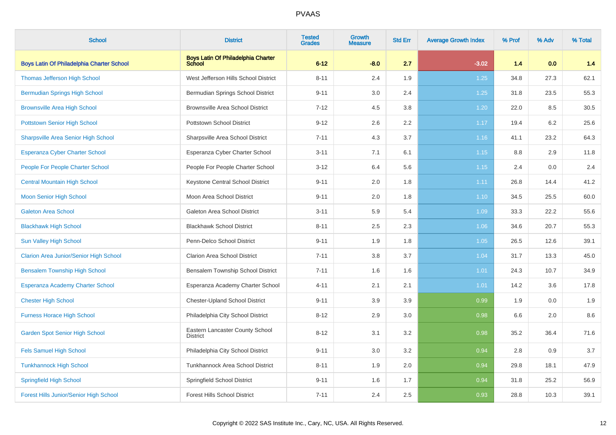| <b>School</b>                                 | <b>District</b>                                    | <b>Tested</b><br><b>Grades</b> | Growth<br><b>Measure</b> | <b>Std Err</b> | <b>Average Growth Index</b> | % Prof | % Adv | % Total |
|-----------------------------------------------|----------------------------------------------------|--------------------------------|--------------------------|----------------|-----------------------------|--------|-------|---------|
| Boys Latin Of Philadelphia Charter School     | Boys Latin Of Philadelphia Charter<br>School       | $6 - 12$                       | $-8.0$                   | 2.7            | $-3.02$                     | 1.4    | 0.0   | 1.4     |
| <b>Thomas Jefferson High School</b>           | West Jefferson Hills School District               | $8 - 11$                       | 2.4                      | 1.9            | 1.25                        | 34.8   | 27.3  | 62.1    |
| <b>Bermudian Springs High School</b>          | Bermudian Springs School District                  | $9 - 11$                       | 3.0                      | 2.4            | 1.25                        | 31.8   | 23.5  | 55.3    |
| <b>Brownsville Area High School</b>           | <b>Brownsville Area School District</b>            | $7 - 12$                       | 4.5                      | 3.8            | 1.20                        | 22.0   | 8.5   | 30.5    |
| <b>Pottstown Senior High School</b>           | Pottstown School District                          | $9 - 12$                       | 2.6                      | 2.2            | 1.17                        | 19.4   | 6.2   | 25.6    |
| <b>Sharpsville Area Senior High School</b>    | Sharpsville Area School District                   | $7 - 11$                       | 4.3                      | 3.7            | 1.16                        | 41.1   | 23.2  | 64.3    |
| <b>Esperanza Cyber Charter School</b>         | Esperanza Cyber Charter School                     | $3 - 11$                       | 7.1                      | 6.1            | 1.15                        | 8.8    | 2.9   | 11.8    |
| People For People Charter School              | People For People Charter School                   | $3 - 12$                       | 6.4                      | 5.6            | 1.15                        | 2.4    | 0.0   | $2.4\,$ |
| <b>Central Mountain High School</b>           | Keystone Central School District                   | $9 - 11$                       | 2.0                      | 1.8            | 1.11                        | 26.8   | 14.4  | 41.2    |
| <b>Moon Senior High School</b>                | Moon Area School District                          | $9 - 11$                       | 2.0                      | 1.8            | 1.10                        | 34.5   | 25.5  | 60.0    |
| <b>Galeton Area School</b>                    | Galeton Area School District                       | $3 - 11$                       | 5.9                      | 5.4            | 1.09                        | 33.3   | 22.2  | 55.6    |
| <b>Blackhawk High School</b>                  | <b>Blackhawk School District</b>                   | $8 - 11$                       | 2.5                      | 2.3            | 1.06                        | 34.6   | 20.7  | 55.3    |
| Sun Valley High School                        | Penn-Delco School District                         | $9 - 11$                       | 1.9                      | 1.8            | 1.05                        | 26.5   | 12.6  | 39.1    |
| <b>Clarion Area Junior/Senior High School</b> | Clarion Area School District                       | $7 - 11$                       | 3.8                      | 3.7            | 1.04                        | 31.7   | 13.3  | 45.0    |
| <b>Bensalem Township High School</b>          | Bensalem Township School District                  | $7 - 11$                       | 1.6                      | 1.6            | 1.01                        | 24.3   | 10.7  | 34.9    |
| Esperanza Academy Charter School              | Esperanza Academy Charter School                   | $4 - 11$                       | 2.1                      | 2.1            | 1.01                        | 14.2   | 3.6   | 17.8    |
| <b>Chester High School</b>                    | <b>Chester-Upland School District</b>              | $9 - 11$                       | 3.9                      | 3.9            | 0.99                        | 1.9    | 0.0   | 1.9     |
| <b>Furness Horace High School</b>             | Philadelphia City School District                  | $8 - 12$                       | 2.9                      | 3.0            | 0.98                        | 6.6    | 2.0   | 8.6     |
| <b>Garden Spot Senior High School</b>         | Eastern Lancaster County School<br><b>District</b> | $8 - 12$                       | 3.1                      | 3.2            | 0.98                        | 35.2   | 36.4  | 71.6    |
| <b>Fels Samuel High School</b>                | Philadelphia City School District                  | $9 - 11$                       | 3.0                      | 3.2            | 0.94                        | 2.8    | 0.9   | 3.7     |
| <b>Tunkhannock High School</b>                | Tunkhannock Area School District                   | $8 - 11$                       | 1.9                      | 2.0            | 0.94                        | 29.8   | 18.1  | 47.9    |
| <b>Springfield High School</b>                | Springfield School District                        | $9 - 11$                       | 1.6                      | 1.7            | 0.94                        | 31.8   | 25.2  | 56.9    |
| Forest Hills Junior/Senior High School        | <b>Forest Hills School District</b>                | $7 - 11$                       | 2.4                      | 2.5            | 0.93                        | 28.8   | 10.3  | 39.1    |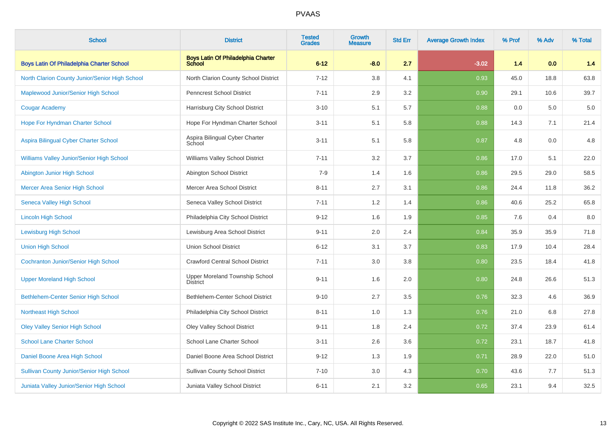| <b>School</b>                                    | <b>District</b>                                            | <b>Tested</b><br><b>Grades</b> | Growth<br><b>Measure</b> | <b>Std Err</b> | <b>Average Growth Index</b> | % Prof | % Adv | % Total |
|--------------------------------------------------|------------------------------------------------------------|--------------------------------|--------------------------|----------------|-----------------------------|--------|-------|---------|
| <b>Boys Latin Of Philadelphia Charter School</b> | <b>Boys Latin Of Philadelphia Charter</b><br><b>School</b> | $6 - 12$                       | $-8.0$                   | 2.7            | $-3.02$                     | 1.4    | 0.0   | 1.4     |
| North Clarion County Junior/Senior High School   | North Clarion County School District                       | $7 - 12$                       | 3.8                      | 4.1            | 0.93                        | 45.0   | 18.8  | 63.8    |
| Maplewood Junior/Senior High School              | <b>Penncrest School District</b>                           | $7 - 11$                       | 2.9                      | 3.2            | 0.90                        | 29.1   | 10.6  | 39.7    |
| <b>Cougar Academy</b>                            | Harrisburg City School District                            | $3 - 10$                       | 5.1                      | 5.7            | 0.88                        | 0.0    | 5.0   | 5.0     |
| Hope For Hyndman Charter School                  | Hope For Hyndman Charter School                            | $3 - 11$                       | 5.1                      | 5.8            | 0.88                        | 14.3   | 7.1   | 21.4    |
| Aspira Bilingual Cyber Charter School            | Aspira Bilingual Cyber Charter<br>School                   | $3 - 11$                       | 5.1                      | 5.8            | 0.87                        | 4.8    | 0.0   | 4.8     |
| Williams Valley Junior/Senior High School        | Williams Valley School District                            | $7 - 11$                       | 3.2                      | 3.7            | 0.86                        | 17.0   | 5.1   | 22.0    |
| Abington Junior High School                      | Abington School District                                   | $7 - 9$                        | 1.4                      | 1.6            | 0.86                        | 29.5   | 29.0  | 58.5    |
| <b>Mercer Area Senior High School</b>            | Mercer Area School District                                | $8 - 11$                       | 2.7                      | 3.1            | 0.86                        | 24.4   | 11.8  | 36.2    |
| <b>Seneca Valley High School</b>                 | Seneca Valley School District                              | $7 - 11$                       | 1.2                      | 1.4            | 0.86                        | 40.6   | 25.2  | 65.8    |
| <b>Lincoln High School</b>                       | Philadelphia City School District                          | $9 - 12$                       | 1.6                      | 1.9            | 0.85                        | 7.6    | 0.4   | $8.0\,$ |
| <b>Lewisburg High School</b>                     | Lewisburg Area School District                             | $9 - 11$                       | 2.0                      | 2.4            | 0.84                        | 35.9   | 35.9  | 71.8    |
| <b>Union High School</b>                         | <b>Union School District</b>                               | $6 - 12$                       | 3.1                      | 3.7            | 0.83                        | 17.9   | 10.4  | 28.4    |
| <b>Cochranton Junior/Senior High School</b>      | <b>Crawford Central School District</b>                    | $7 - 11$                       | 3.0                      | 3.8            | 0.80                        | 23.5   | 18.4  | 41.8    |
| <b>Upper Moreland High School</b>                | <b>Upper Moreland Township School</b><br><b>District</b>   | $9 - 11$                       | 1.6                      | 2.0            | 0.80                        | 24.8   | 26.6  | 51.3    |
| <b>Bethlehem-Center Senior High School</b>       | Bethlehem-Center School District                           | $9 - 10$                       | 2.7                      | 3.5            | 0.76                        | 32.3   | 4.6   | 36.9    |
| <b>Northeast High School</b>                     | Philadelphia City School District                          | $8 - 11$                       | 1.0                      | 1.3            | 0.76                        | 21.0   | 6.8   | 27.8    |
| <b>Oley Valley Senior High School</b>            | <b>Oley Valley School District</b>                         | $9 - 11$                       | 1.8                      | 2.4            | 0.72                        | 37.4   | 23.9  | 61.4    |
| <b>School Lane Charter School</b>                | School Lane Charter School                                 | $3 - 11$                       | 2.6                      | 3.6            | 0.72                        | 23.1   | 18.7  | 41.8    |
| Daniel Boone Area High School                    | Daniel Boone Area School District                          | $9 - 12$                       | 1.3                      | 1.9            | 0.71                        | 28.9   | 22.0  | 51.0    |
| <b>Sullivan County Junior/Senior High School</b> | <b>Sullivan County School District</b>                     | $7 - 10$                       | 3.0                      | 4.3            | 0.70                        | 43.6   | 7.7   | 51.3    |
| Juniata Valley Junior/Senior High School         | Juniata Valley School District                             | $6 - 11$                       | 2.1                      | 3.2            | 0.65                        | 23.1   | 9.4   | 32.5    |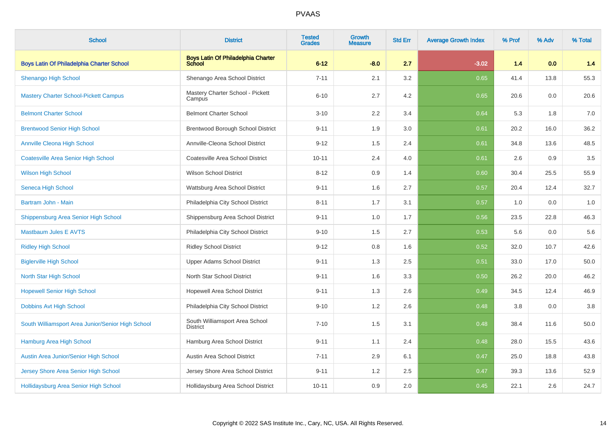| <b>School</b>                                     | <b>District</b>                                     | <b>Tested</b><br><b>Grades</b> | Growth<br>Measure | <b>Std Err</b> | <b>Average Growth Index</b> | % Prof | % Adv | % Total |
|---------------------------------------------------|-----------------------------------------------------|--------------------------------|-------------------|----------------|-----------------------------|--------|-------|---------|
| <b>Boys Latin Of Philadelphia Charter School</b>  | <b>Boys Latin Of Philadelphia Charter</b><br>School | $6 - 12$                       | $-8.0$            | 2.7            | $-3.02$                     | 1.4    | 0.0   | $1.4$   |
| Shenango High School                              | Shenango Area School District                       | $7 - 11$                       | 2.1               | 3.2            | 0.65                        | 41.4   | 13.8  | 55.3    |
| <b>Mastery Charter School-Pickett Campus</b>      | Mastery Charter School - Pickett<br>Campus          | $6 - 10$                       | 2.7               | 4.2            | 0.65                        | 20.6   | 0.0   | 20.6    |
| <b>Belmont Charter School</b>                     | <b>Belmont Charter School</b>                       | $3 - 10$                       | $2.2\,$           | 3.4            | 0.64                        | 5.3    | 1.8   | 7.0     |
| <b>Brentwood Senior High School</b>               | Brentwood Borough School District                   | $9 - 11$                       | 1.9               | 3.0            | 0.61                        | 20.2   | 16.0  | 36.2    |
| <b>Annville Cleona High School</b>                | Annville-Cleona School District                     | $9 - 12$                       | 1.5               | 2.4            | 0.61                        | 34.8   | 13.6  | 48.5    |
| <b>Coatesville Area Senior High School</b>        | Coatesville Area School District                    | $10 - 11$                      | 2.4               | 4.0            | 0.61                        | 2.6    | 0.9   | 3.5     |
| <b>Wilson High School</b>                         | <b>Wilson School District</b>                       | $8 - 12$                       | 0.9               | 1.4            | 0.60                        | 30.4   | 25.5  | 55.9    |
| Seneca High School                                | Wattsburg Area School District                      | $9 - 11$                       | 1.6               | 2.7            | 0.57                        | 20.4   | 12.4  | 32.7    |
| Bartram John - Main                               | Philadelphia City School District                   | $8 - 11$                       | 1.7               | 3.1            | 0.57                        | 1.0    | 0.0   | 1.0     |
| Shippensburg Area Senior High School              | Shippensburg Area School District                   | $9 - 11$                       | 1.0               | 1.7            | 0.56                        | 23.5   | 22.8  | 46.3    |
| <b>Mastbaum Jules E AVTS</b>                      | Philadelphia City School District                   | $9 - 10$                       | 1.5               | 2.7            | 0.53                        | 5.6    | 0.0   | 5.6     |
| <b>Ridley High School</b>                         | <b>Ridley School District</b>                       | $9 - 12$                       | 0.8               | 1.6            | 0.52                        | 32.0   | 10.7  | 42.6    |
| <b>Biglerville High School</b>                    | <b>Upper Adams School District</b>                  | $9 - 11$                       | 1.3               | 2.5            | 0.51                        | 33.0   | 17.0  | 50.0    |
| North Star High School                            | North Star School District                          | $9 - 11$                       | 1.6               | 3.3            | 0.50                        | 26.2   | 20.0  | 46.2    |
| <b>Hopewell Senior High School</b>                | <b>Hopewell Area School District</b>                | $9 - 11$                       | 1.3               | 2.6            | 0.49                        | 34.5   | 12.4  | 46.9    |
| Dobbins Avt High School                           | Philadelphia City School District                   | $9 - 10$                       | 1.2               | 2.6            | 0.48                        | 3.8    | 0.0   | $3.8\,$ |
| South Williamsport Area Junior/Senior High School | South Williamsport Area School<br><b>District</b>   | $7 - 10$                       | 1.5               | 3.1            | 0.48                        | 38.4   | 11.6  | 50.0    |
| Hamburg Area High School                          | Hamburg Area School District                        | $9 - 11$                       | 1.1               | 2.4            | 0.48                        | 28.0   | 15.5  | 43.6    |
| Austin Area Junior/Senior High School             | Austin Area School District                         | $7 - 11$                       | 2.9               | 6.1            | 0.47                        | 25.0   | 18.8  | 43.8    |
| Jersey Shore Area Senior High School              | Jersey Shore Area School District                   | $9 - 11$                       | 1.2               | 2.5            | 0.47                        | 39.3   | 13.6  | 52.9    |
| Hollidaysburg Area Senior High School             | Hollidaysburg Area School District                  | $10 - 11$                      | 0.9               | 2.0            | 0.45                        | 22.1   | 2.6   | 24.7    |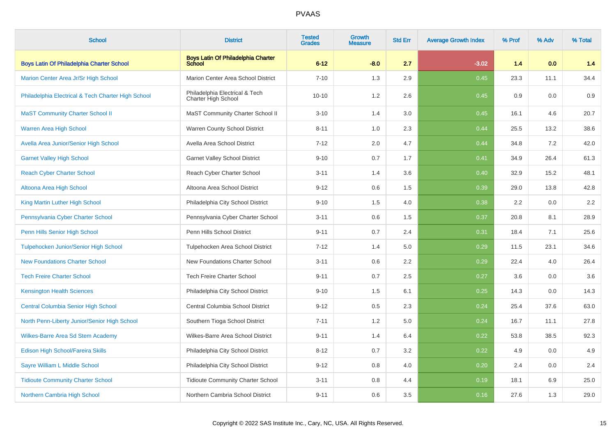| <b>School</b>                                      | <b>District</b>                                            | <b>Tested</b><br><b>Grades</b> | <b>Growth</b><br><b>Measure</b> | <b>Std Err</b> | <b>Average Growth Index</b> | % Prof | % Adv | % Total |
|----------------------------------------------------|------------------------------------------------------------|--------------------------------|---------------------------------|----------------|-----------------------------|--------|-------|---------|
| Boys Latin Of Philadelphia Charter School          | <b>Boys Latin Of Philadelphia Charter</b><br><b>School</b> | $6 - 12$                       | $-8.0$                          | 2.7            | $-3.02$                     | 1.4    | 0.0   | 1.4     |
| Marion Center Area Jr/Sr High School               | Marion Center Area School District                         | $7 - 10$                       | 1.3                             | 2.9            | 0.45                        | 23.3   | 11.1  | 34.4    |
| Philadelphia Electrical & Tech Charter High School | Philadelphia Electrical & Tech<br>Charter High School      | $10 - 10$                      | 1.2                             | 2.6            | 0.45                        | 0.9    | 0.0   | 0.9     |
| <b>MaST Community Charter School II</b>            | MaST Community Charter School II                           | $3 - 10$                       | 1.4                             | 3.0            | 0.45                        | 16.1   | 4.6   | 20.7    |
| <b>Warren Area High School</b>                     | Warren County School District                              | $8 - 11$                       | 1.0                             | 2.3            | 0.44                        | 25.5   | 13.2  | 38.6    |
| Avella Area Junior/Senior High School              | Avella Area School District                                | $7 - 12$                       | 2.0                             | 4.7            | 0.44                        | 34.8   | 7.2   | 42.0    |
| <b>Garnet Valley High School</b>                   | <b>Garnet Valley School District</b>                       | $9 - 10$                       | 0.7                             | 1.7            | 0.41                        | 34.9   | 26.4  | 61.3    |
| <b>Reach Cyber Charter School</b>                  | Reach Cyber Charter School                                 | $3 - 11$                       | 1.4                             | 3.6            | 0.40                        | 32.9   | 15.2  | 48.1    |
| Altoona Area High School                           | Altoona Area School District                               | $9 - 12$                       | 0.6                             | 1.5            | 0.39                        | 29.0   | 13.8  | 42.8    |
| King Martin Luther High School                     | Philadelphia City School District                          | $9 - 10$                       | 1.5                             | 4.0            | 0.38                        | 2.2    | 0.0   | 2.2     |
| Pennsylvania Cyber Charter School                  | Pennsylvania Cyber Charter School                          | $3 - 11$                       | 0.6                             | 1.5            | 0.37                        | 20.8   | 8.1   | 28.9    |
| Penn Hills Senior High School                      | Penn Hills School District                                 | $9 - 11$                       | 0.7                             | 2.4            | 0.31                        | 18.4   | 7.1   | 25.6    |
| Tulpehocken Junior/Senior High School              | Tulpehocken Area School District                           | $7-12$                         | 1.4                             | 5.0            | 0.29                        | 11.5   | 23.1  | 34.6    |
| <b>New Foundations Charter School</b>              | New Foundations Charter School                             | $3 - 11$                       | 0.6                             | 2.2            | 0.29                        | 22.4   | 4.0   | 26.4    |
| <b>Tech Freire Charter School</b>                  | <b>Tech Freire Charter School</b>                          | $9 - 11$                       | 0.7                             | 2.5            | 0.27                        | 3.6    | 0.0   | 3.6     |
| <b>Kensington Health Sciences</b>                  | Philadelphia City School District                          | $9 - 10$                       | 1.5                             | 6.1            | 0.25                        | 14.3   | 0.0   | 14.3    |
| <b>Central Columbia Senior High School</b>         | Central Columbia School District                           | $9 - 12$                       | 0.5                             | 2.3            | 0.24                        | 25.4   | 37.6  | 63.0    |
| North Penn-Liberty Junior/Senior High School       | Southern Tioga School District                             | $7 - 11$                       | 1.2                             | 5.0            | 0.24                        | 16.7   | 11.1  | 27.8    |
| <b>Wilkes-Barre Area Sd Stem Academy</b>           | Wilkes-Barre Area School District                          | $9 - 11$                       | 1.4                             | 6.4            | 0.22                        | 53.8   | 38.5  | 92.3    |
| <b>Edison High School/Fareira Skills</b>           | Philadelphia City School District                          | $8 - 12$                       | 0.7                             | 3.2            | 0.22                        | 4.9    | 0.0   | 4.9     |
| Sayre William L Middle School                      | Philadelphia City School District                          | $9 - 12$                       | 0.8                             | 4.0            | 0.20                        | 2.4    | 0.0   | 2.4     |
| <b>Tidioute Community Charter School</b>           | Tidioute Community Charter School                          | $3 - 11$                       | 0.8                             | 4.4            | 0.19                        | 18.1   | 6.9   | 25.0    |
| Northern Cambria High School                       | Northern Cambria School District                           | $9 - 11$                       | 0.6                             | 3.5            | 0.16                        | 27.6   | 1.3   | 29.0    |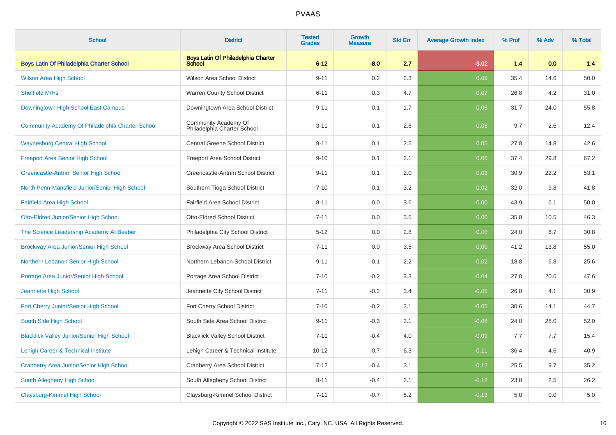| <b>School</b>                                     | <b>District</b>                                            | <b>Tested</b><br><b>Grades</b> | <b>Growth</b><br><b>Measure</b> | <b>Std Err</b> | <b>Average Growth Index</b> | % Prof | % Adv | % Total |
|---------------------------------------------------|------------------------------------------------------------|--------------------------------|---------------------------------|----------------|-----------------------------|--------|-------|---------|
| <b>Boys Latin Of Philadelphia Charter School</b>  | <b>Boys Latin Of Philadelphia Charter</b><br><b>School</b> | $6 - 12$                       | $-8.0$                          | 2.7            | $-3.02$                     | 1.4    | 0.0   | 1.4     |
| <b>Wilson Area High School</b>                    | Wilson Area School District                                | $9 - 11$                       | 0.2                             | 2.3            | 0.09                        | 35.4   | 14.6  | 50.0    |
| Sheffield M/Hs                                    | Warren County School District                              | $6 - 11$                       | 0.3                             | 4.7            | 0.07                        | 26.8   | 4.2   | 31.0    |
| Downingtown High School East Campus               | Downingtown Area School District                           | $9 - 11$                       | 0.1                             | 1.7            | 0.06                        | 31.7   | 24.0  | 55.8    |
| Community Academy Of Philadelphia Charter School  | Community Academy Of<br>Philadelphia Charter School        | $3 - 11$                       | 0.1                             | 2.6            | 0.06                        | 9.7    | 2.6   | 12.4    |
| <b>Waynesburg Central High School</b>             | <b>Central Greene School District</b>                      | $9 - 11$                       | 0.1                             | 2.5            | 0.05                        | 27.8   | 14.8  | 42.6    |
| Freeport Area Senior High School                  | Freeport Area School District                              | $9 - 10$                       | 0.1                             | 2.1            | 0.05                        | 37.4   | 29.8  | 67.2    |
| Greencastle-Antrim Senior High School             | Greencastle-Antrim School District                         | $9 - 11$                       | 0.1                             | 2.0            | 0.03                        | 30.9   | 22.2  | 53.1    |
| North Penn-Mansfield Junior/Senior High School    | Southern Tioga School District                             | $7 - 10$                       | 0.1                             | 3.2            | 0.02                        | 32.0   | 9.8   | 41.8    |
| <b>Fairfield Area High School</b>                 | <b>Fairfield Area School District</b>                      | $8 - 11$                       | $-0.0$                          | 3.6            | $-0.00$                     | 43.9   | 6.1   | 50.0    |
| Otto-Eldred Junior/Senior High School             | <b>Otto-Eldred School District</b>                         | $7 - 11$                       | 0.0                             | 3.5            | 0.00                        | 35.8   | 10.5  | 46.3    |
| The Science Leadership Academy At Beeber          | Philadelphia City School District                          | $5 - 12$                       | 0.0                             | 2.8            | 0.00                        | 24.0   | 6.7   | 30.8    |
| Brockway Area Junior/Senior High School           | Brockway Area School District                              | $7 - 11$                       | 0.0                             | 3.5            | 0.00                        | 41.2   | 13.8  | 55.0    |
| Northern Lebanon Senior High School               | Northern Lebanon School District                           | $9 - 11$                       | $-0.1$                          | 2.2            | $-0.02$                     | 18.8   | 6.8   | 25.6    |
| Portage Area Junior/Senior High School            | Portage Area School District                               | $7 - 10$                       | $-0.2$                          | 3.3            | $-0.04$                     | 27.0   | 20.6  | 47.6    |
| Jeannette High School                             | Jeannette City School District                             | $7 - 11$                       | $-0.2$                          | 3.4            | $-0.05$                     | 26.8   | 4.1   | 30.9    |
| Fort Cherry Junior/Senior High School             | Fort Cherry School District                                | $7 - 10$                       | $-0.2$                          | 3.1            | $-0.05$                     | 30.6   | 14.1  | 44.7    |
| South Side High School                            | South Side Area School District                            | $9 - 11$                       | $-0.3$                          | 3.1            | $-0.08$                     | 24.0   | 28.0  | 52.0    |
| <b>Blacklick Valley Junior/Senior High School</b> | <b>Blacklick Valley School District</b>                    | $7 - 11$                       | $-0.4$                          | 4.0            | $-0.09$                     | 7.7    | 7.7   | 15.4    |
| Lehigh Career & Technical Institute               | Lehigh Career & Technical Institute                        | $10 - 12$                      | $-0.7$                          | 6.3            | $-0.11$                     | 36.4   | 4.6   | 40.9    |
| <b>Cranberry Area Junior/Senior High School</b>   | Cranberry Area School District                             | $7 - 12$                       | $-0.4$                          | 3.1            | $-0.12$                     | 25.5   | 9.7   | 35.2    |
| South Allegheny High School                       | South Allegheny School District                            | $8 - 11$                       | $-0.4$                          | 3.1            | $-0.12$                     | 23.8   | 2.5   | 26.2    |
| <b>Claysburg-Kimmel High School</b>               | Claysburg-Kimmel School District                           | $7 - 11$                       | $-0.7$                          | 5.2            | $-0.13$                     | 5.0    | 0.0   | 5.0     |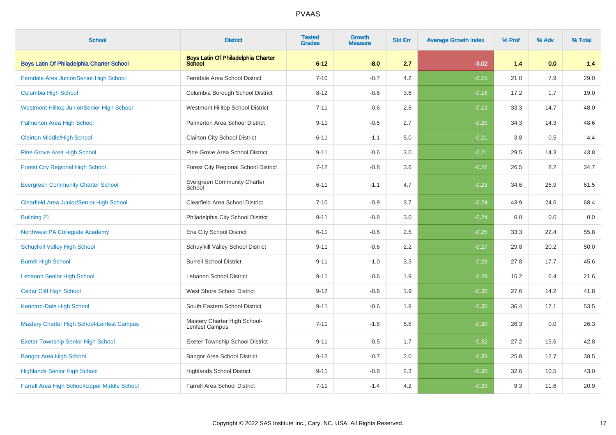| <b>School</b>                                     | <b>District</b>                                     | <b>Tested</b><br><b>Grades</b> | <b>Growth</b><br><b>Measure</b> | <b>Std Err</b> | <b>Average Growth Index</b> | % Prof | % Adv | % Total |
|---------------------------------------------------|-----------------------------------------------------|--------------------------------|---------------------------------|----------------|-----------------------------|--------|-------|---------|
| <b>Boys Latin Of Philadelphia Charter School</b>  | <b>Boys Latin Of Philadelphia Charter</b><br>School | $6 - 12$                       | $-8.0$                          | 2.7            | $-3.02$                     | 1.4    | 0.0   | 1.4     |
| Ferndale Area Junior/Senior High School           | Ferndale Area School District                       | $7 - 10$                       | $-0.7$                          | 4.2            | $-0.15$                     | 21.0   | 7.9   | 29.0    |
| <b>Columbia High School</b>                       | Columbia Borough School District                    | $8 - 12$                       | $-0.6$                          | 3.6            | $-0.16$                     | 17.2   | 1.7   | 19.0    |
| <b>Westmont Hilltop Junior/Senior High School</b> | Westmont Hilltop School District                    | $7 - 11$                       | $-0.6$                          | 2.8            | $-0.19$                     | 33.3   | 14.7  | 48.0    |
| Palmerton Area High School                        | Palmerton Area School District                      | $9 - 11$                       | $-0.5$                          | 2.7            | $-0.20$                     | 34.3   | 14.3  | 48.6    |
| <b>Clairton Middle/High School</b>                | Clairton City School District                       | $6 - 11$                       | $-1.1$                          | 5.0            | $-0.21$                     | 3.8    | 0.5   | 4.4     |
| Pine Grove Area High School                       | Pine Grove Area School District                     | $9 - 11$                       | $-0.6$                          | 3.0            | $-0.21$                     | 29.5   | 14.3  | 43.8    |
| <b>Forest City Regional High School</b>           | Forest City Regional School District                | $7 - 12$                       | $-0.8$                          | 3.6            | $-0.22$                     | 26.5   | 8.2   | 34.7    |
| <b>Evergreen Community Charter School</b>         | <b>Evergreen Community Charter</b><br>School        | $6 - 11$                       | $-1.1$                          | 4.7            | $-0.23$                     | 34.6   | 26.9  | 61.5    |
| <b>Clearfield Area Junior/Senior High School</b>  | <b>Clearfield Area School District</b>              | $7 - 10$                       | $-0.9$                          | 3.7            | $-0.24$                     | 43.9   | 24.6  | 68.4    |
| <b>Building 21</b>                                | Philadelphia City School District                   | $9 - 11$                       | $-0.8$                          | 3.0            | $-0.24$                     | 0.0    | 0.0   | 0.0     |
| Northwest PA Collegiate Academy                   | Erie City School District                           | $6 - 11$                       | $-0.6$                          | 2.5            | $-0.25$                     | 33.3   | 22.4  | 55.8    |
| <b>Schuylkill Valley High School</b>              | Schuylkill Valley School District                   | $9 - 11$                       | $-0.6$                          | 2.2            | $-0.27$                     | 29.8   | 20.2  | 50.0    |
| <b>Burrell High School</b>                        | <b>Burrell School District</b>                      | $9 - 11$                       | $-1.0$                          | 3.3            | $-0.29$                     | 27.8   | 17.7  | 45.6    |
| <b>Lebanon Senior High School</b>                 | Lebanon School District                             | $9 - 11$                       | $-0.6$                          | 1.9            | $-0.29$                     | 15.2   | 6.4   | 21.6    |
| <b>Cedar Cliff High School</b>                    | West Shore School District                          | $9 - 12$                       | $-0.6$                          | 1.9            | $-0.30$                     | 27.6   | 14.2  | 41.8    |
| Kennard-Dale High School                          | South Eastern School District                       | $9 - 11$                       | $-0.6$                          | 1.8            | $-0.30$                     | 36.4   | 17.1  | 53.5    |
| Mastery Charter High School-Lenfest Campus        | Mastery Charter High School-<br>Lenfest Campus      | $7 - 11$                       | $-1.8$                          | 5.8            | $-0.30$                     | 26.3   | 0.0   | 26.3    |
| <b>Exeter Township Senior High School</b>         | <b>Exeter Township School District</b>              | $9 - 11$                       | $-0.5$                          | 1.7            | $-0.32$                     | 27.2   | 15.6  | 42.8    |
| <b>Bangor Area High School</b>                    | Bangor Area School District                         | $9 - 12$                       | $-0.7$                          | 2.0            | $-0.33$                     | 25.8   | 12.7  | 38.5    |
| <b>Highlands Senior High School</b>               | <b>Highlands School District</b>                    | $9 - 11$                       | $-0.8$                          | 2.3            | $-0.33$                     | 32.6   | 10.5  | 43.0    |
| Farrell Area High School/Upper Middle School      | <b>Farrell Area School District</b>                 | $7 - 11$                       | $-1.4$                          | 4.2            | $-0.33$                     | 9.3    | 11.6  | 20.9    |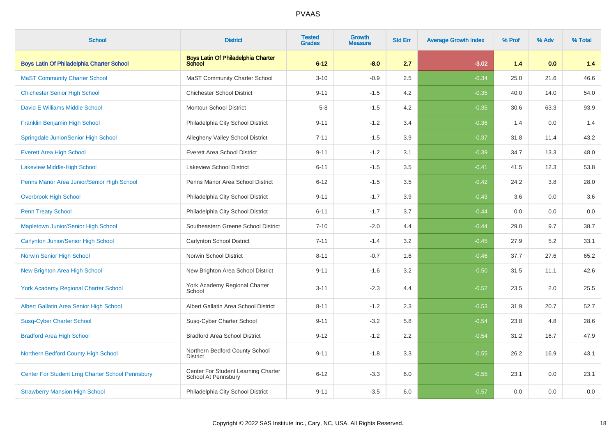| <b>School</b>                                    | <b>District</b>                                            | <b>Tested</b><br><b>Grades</b> | <b>Growth</b><br><b>Measure</b> | <b>Std Err</b> | <b>Average Growth Index</b> | % Prof | % Adv | % Total |
|--------------------------------------------------|------------------------------------------------------------|--------------------------------|---------------------------------|----------------|-----------------------------|--------|-------|---------|
| <b>Boys Latin Of Philadelphia Charter School</b> | <b>Boys Latin Of Philadelphia Charter</b><br>School        | $6 - 12$                       | $-8.0$                          | 2.7            | $-3.02$                     | 1.4    | 0.0   | 1.4     |
| <b>MaST Community Charter School</b>             | <b>MaST Community Charter School</b>                       | $3 - 10$                       | $-0.9$                          | 2.5            | $-0.34$                     | 25.0   | 21.6  | 46.6    |
| <b>Chichester Senior High School</b>             | <b>Chichester School District</b>                          | $9 - 11$                       | $-1.5$                          | 4.2            | $-0.35$                     | 40.0   | 14.0  | 54.0    |
| David E Williams Middle School                   | <b>Montour School District</b>                             | $5 - 8$                        | $-1.5$                          | 4.2            | $-0.35$                     | 30.6   | 63.3  | 93.9    |
| Franklin Benjamin High School                    | Philadelphia City School District                          | $9 - 11$                       | $-1.2$                          | 3.4            | $-0.36$                     | 1.4    | 0.0   | 1.4     |
| Springdale Junior/Senior High School             | Allegheny Valley School District                           | $7 - 11$                       | $-1.5$                          | 3.9            | $-0.37$                     | 31.8   | 11.4  | 43.2    |
| <b>Everett Area High School</b>                  | <b>Everett Area School District</b>                        | $9 - 11$                       | $-1.2$                          | 3.1            | $-0.39$                     | 34.7   | 13.3  | 48.0    |
| <b>Lakeview Middle-High School</b>               | <b>Lakeview School District</b>                            | $6 - 11$                       | $-1.5$                          | 3.5            | $-0.41$                     | 41.5   | 12.3  | 53.8    |
| Penns Manor Area Junior/Senior High School       | Penns Manor Area School District                           | $6 - 12$                       | $-1.5$                          | 3.5            | $-0.42$                     | 24.2   | 3.8   | 28.0    |
| <b>Overbrook High School</b>                     | Philadelphia City School District                          | $9 - 11$                       | $-1.7$                          | 3.9            | $-0.43$                     | 3.6    | 0.0   | 3.6     |
| <b>Penn Treaty School</b>                        | Philadelphia City School District                          | $6 - 11$                       | $-1.7$                          | 3.7            | $-0.44$                     | 0.0    | 0.0   | 0.0     |
| Mapletown Junior/Senior High School              | Southeastern Greene School District                        | $7 - 10$                       | $-2.0$                          | 4.4            | $-0.44$                     | 29.0   | 9.7   | 38.7    |
| <b>Carlynton Junior/Senior High School</b>       | <b>Carlynton School District</b>                           | $7 - 11$                       | $-1.4$                          | 3.2            | $-0.45$                     | 27.9   | 5.2   | 33.1    |
| Norwin Senior High School                        | Norwin School District                                     | $8 - 11$                       | $-0.7$                          | 1.6            | $-0.46$                     | 37.7   | 27.6  | 65.2    |
| <b>New Brighton Area High School</b>             | New Brighton Area School District                          | $9 - 11$                       | $-1.6$                          | 3.2            | $-0.50$                     | 31.5   | 11.1  | 42.6    |
| <b>York Academy Regional Charter School</b>      | York Academy Regional Charter<br>School                    | $3 - 11$                       | $-2.3$                          | 4.4            | $-0.52$                     | 23.5   | 2.0   | 25.5    |
| Albert Gallatin Area Senior High School          | Albert Gallatin Area School District                       | $8 - 11$                       | $-1.2$                          | 2.3            | $-0.53$                     | 31.9   | 20.7  | 52.7    |
| <b>Susq-Cyber Charter School</b>                 | Susq-Cyber Charter School                                  | $9 - 11$                       | $-3.2$                          | 5.8            | $-0.54$                     | 23.8   | 4.8   | 28.6    |
| <b>Bradford Area High School</b>                 | <b>Bradford Area School District</b>                       | $9 - 12$                       | $-1.2$                          | 2.2            | $-0.54$                     | 31.2   | 16.7  | 47.9    |
| Northern Bedford County High School              | Northern Bedford County School<br><b>District</b>          | $9 - 11$                       | $-1.8$                          | 3.3            | $-0.55$                     | 26.2   | 16.9  | 43.1    |
| Center For Student Lrng Charter School Pennsbury | Center For Student Learning Charter<br>School At Pennsbury | $6 - 12$                       | $-3.3$                          | 6.0            | $-0.55$                     | 23.1   | 0.0   | 23.1    |
| <b>Strawberry Mansion High School</b>            | Philadelphia City School District                          | $9 - 11$                       | $-3.5$                          | 6.0            | $-0.57$                     | 0.0    | 0.0   | 0.0     |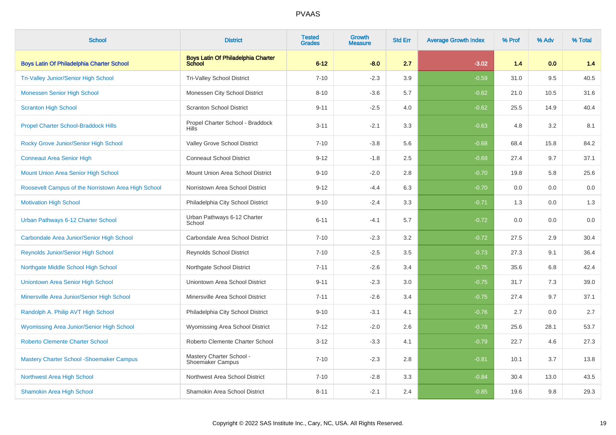| <b>School</b>                                       | <b>District</b>                                     | <b>Tested</b><br><b>Grades</b> | <b>Growth</b><br><b>Measure</b> | <b>Std Err</b> | <b>Average Growth Index</b> | % Prof | % Adv | % Total |
|-----------------------------------------------------|-----------------------------------------------------|--------------------------------|---------------------------------|----------------|-----------------------------|--------|-------|---------|
| <b>Boys Latin Of Philadelphia Charter School</b>    | <b>Boys Latin Of Philadelphia Charter</b><br>School | $6 - 12$                       | $-8.0$                          | 2.7            | $-3.02$                     | 1.4    | 0.0   | 1.4     |
| Tri-Valley Junior/Senior High School                | Tri-Valley School District                          | $7 - 10$                       | $-2.3$                          | 3.9            | $-0.59$                     | 31.0   | 9.5   | 40.5    |
| <b>Monessen Senior High School</b>                  | Monessen City School District                       | $8 - 10$                       | $-3.6$                          | 5.7            | $-0.62$                     | 21.0   | 10.5  | 31.6    |
| <b>Scranton High School</b>                         | <b>Scranton School District</b>                     | $9 - 11$                       | $-2.5$                          | 4.0            | $-0.62$                     | 25.5   | 14.9  | 40.4    |
| <b>Propel Charter School-Braddock Hills</b>         | Propel Charter School - Braddock<br><b>Hills</b>    | $3 - 11$                       | $-2.1$                          | 3.3            | $-0.63$                     | 4.8    | 3.2   | 8.1     |
| Rocky Grove Junior/Senior High School               | Valley Grove School District                        | $7 - 10$                       | $-3.8$                          | 5.6            | $-0.68$                     | 68.4   | 15.8  | 84.2    |
| <b>Conneaut Area Senior High</b>                    | <b>Conneaut School District</b>                     | $9 - 12$                       | $-1.8$                          | 2.5            | $-0.69$                     | 27.4   | 9.7   | 37.1    |
| Mount Union Area Senior High School                 | Mount Union Area School District                    | $9 - 10$                       | $-2.0$                          | 2.8            | $-0.70$                     | 19.8   | 5.8   | 25.6    |
| Roosevelt Campus of the Norristown Area High School | Norristown Area School District                     | $9 - 12$                       | $-4.4$                          | 6.3            | $-0.70$                     | 0.0    | 0.0   | 0.0     |
| <b>Motivation High School</b>                       | Philadelphia City School District                   | $9 - 10$                       | $-2.4$                          | 3.3            | $-0.71$                     | 1.3    | 0.0   | 1.3     |
| Urban Pathways 6-12 Charter School                  | Urban Pathways 6-12 Charter<br>School               | $6 - 11$                       | $-4.1$                          | 5.7            | $-0.72$                     | 0.0    | 0.0   | 0.0     |
| Carbondale Area Junior/Senior High School           | Carbondale Area School District                     | $7 - 10$                       | $-2.3$                          | 3.2            | $-0.72$                     | 27.5   | 2.9   | 30.4    |
| <b>Reynolds Junior/Senior High School</b>           | <b>Reynolds School District</b>                     | $7 - 10$                       | $-2.5$                          | 3.5            | $-0.73$                     | 27.3   | 9.1   | 36.4    |
| Northgate Middle School High School                 | Northgate School District                           | $7 - 11$                       | $-2.6$                          | 3.4            | $-0.75$                     | 35.6   | 6.8   | 42.4    |
| Uniontown Area Senior High School                   | Uniontown Area School District                      | $9 - 11$                       | $-2.3$                          | 3.0            | $-0.75$                     | 31.7   | 7.3   | 39.0    |
| Minersville Area Junior/Senior High School          | Minersville Area School District                    | $7 - 11$                       | $-2.6$                          | 3.4            | $-0.75$                     | 27.4   | 9.7   | 37.1    |
| Randolph A. Philip AVT High School                  | Philadelphia City School District                   | $9 - 10$                       | $-3.1$                          | 4.1            | $-0.76$                     | 2.7    | 0.0   | 2.7     |
| <b>Wyomissing Area Junior/Senior High School</b>    | Wyomissing Area School District                     | $7 - 12$                       | $-2.0$                          | 2.6            | $-0.78$                     | 25.6   | 28.1  | 53.7    |
| <b>Roberto Clemente Charter School</b>              | Roberto Clemente Charter School                     | $3 - 12$                       | $-3.3$                          | 4.1            | $-0.79$                     | 22.7   | 4.6   | 27.3    |
| <b>Mastery Charter School - Shoemaker Campus</b>    | Mastery Charter School -<br>Shoemaker Campus        | $7 - 10$                       | $-2.3$                          | 2.8            | $-0.81$                     | 10.1   | 3.7   | 13.8    |
| Northwest Area High School                          | Northwest Area School District                      | $7 - 10$                       | $-2.8$                          | 3.3            | $-0.84$                     | 30.4   | 13.0  | 43.5    |
| <b>Shamokin Area High School</b>                    | Shamokin Area School District                       | $8 - 11$                       | $-2.1$                          | 2.4            | $-0.85$                     | 19.6   | 9.8   | 29.3    |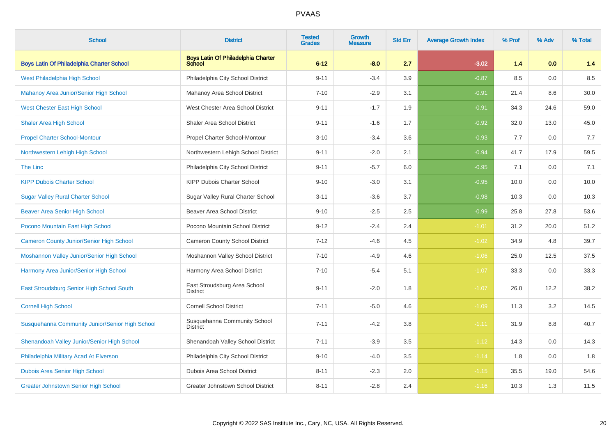| <b>School</b>                                    | <b>District</b>                                     | <b>Tested</b><br><b>Grades</b> | Growth<br>Measure | <b>Std Err</b> | <b>Average Growth Index</b> | % Prof | % Adv | % Total |
|--------------------------------------------------|-----------------------------------------------------|--------------------------------|-------------------|----------------|-----------------------------|--------|-------|---------|
| <b>Boys Latin Of Philadelphia Charter School</b> | <b>Boys Latin Of Philadelphia Charter</b><br>School | $6 - 12$                       | $-8.0$            | 2.7            | $-3.02$                     | 1.4    | 0.0   | 1.4     |
| West Philadelphia High School                    | Philadelphia City School District                   | $9 - 11$                       | $-3.4$            | 3.9            | $-0.87$                     | 8.5    | 0.0   | 8.5     |
| Mahanoy Area Junior/Senior High School           | Mahanoy Area School District                        | $7 - 10$                       | $-2.9$            | 3.1            | $-0.91$                     | 21.4   | 8.6   | 30.0    |
| <b>West Chester East High School</b>             | West Chester Area School District                   | $9 - 11$                       | $-1.7$            | 1.9            | $-0.91$                     | 34.3   | 24.6  | 59.0    |
| <b>Shaler Area High School</b>                   | <b>Shaler Area School District</b>                  | $9 - 11$                       | $-1.6$            | 1.7            | $-0.92$                     | 32.0   | 13.0  | 45.0    |
| <b>Propel Charter School-Montour</b>             | Propel Charter School-Montour                       | $3 - 10$                       | $-3.4$            | 3.6            | $-0.93$                     | 7.7    | 0.0   | 7.7     |
| Northwestern Lehigh High School                  | Northwestern Lehigh School District                 | $9 - 11$                       | $-2.0$            | 2.1            | $-0.94$                     | 41.7   | 17.9  | 59.5    |
| <b>The Linc</b>                                  | Philadelphia City School District                   | $9 - 11$                       | $-5.7$            | 6.0            | $-0.95$                     | 7.1    | 0.0   | 7.1     |
| <b>KIPP Dubois Charter School</b>                | <b>KIPP Dubois Charter School</b>                   | $9 - 10$                       | $-3.0$            | 3.1            | $-0.95$                     | 10.0   | 0.0   | 10.0    |
| <b>Sugar Valley Rural Charter School</b>         | Sugar Valley Rural Charter School                   | $3 - 11$                       | $-3.6$            | 3.7            | $-0.98$                     | 10.3   | 0.0   | 10.3    |
| <b>Beaver Area Senior High School</b>            | <b>Beaver Area School District</b>                  | $9 - 10$                       | $-2.5$            | 2.5            | $-0.99$                     | 25.8   | 27.8  | 53.6    |
| Pocono Mountain East High School                 | Pocono Mountain School District                     | $9 - 12$                       | $-2.4$            | 2.4            | $-1.01$                     | 31.2   | 20.0  | 51.2    |
| <b>Cameron County Junior/Senior High School</b>  | <b>Cameron County School District</b>               | $7 - 12$                       | $-4.6$            | 4.5            | $-1.02$                     | 34.9   | 4.8   | 39.7    |
| Moshannon Valley Junior/Senior High School       | Moshannon Valley School District                    | $7 - 10$                       | $-4.9$            | 4.6            | $-1.06$                     | 25.0   | 12.5  | 37.5    |
| Harmony Area Junior/Senior High School           | Harmony Area School District                        | $7 - 10$                       | $-5.4$            | 5.1            | $-1.07$                     | 33.3   | 0.0   | 33.3    |
| East Stroudsburg Senior High School South        | East Stroudsburg Area School<br><b>District</b>     | $9 - 11$                       | $-2.0$            | 1.8            | $-1.07$                     | 26.0   | 12.2  | 38.2    |
| <b>Cornell High School</b>                       | <b>Cornell School District</b>                      | $7 - 11$                       | $-5.0$            | 4.6            | $-1.09$                     | 11.3   | 3.2   | 14.5    |
| Susquehanna Community Junior/Senior High School  | Susquehanna Community School<br><b>District</b>     | $7 - 11$                       | $-4.2$            | 3.8            | $-1.11$                     | 31.9   | 8.8   | 40.7    |
| Shenandoah Valley Junior/Senior High School      | Shenandoah Valley School District                   | $7 - 11$                       | $-3.9$            | 3.5            | $-1.12$                     | 14.3   | 0.0   | 14.3    |
| Philadelphia Military Acad At Elverson           | Philadelphia City School District                   | $9 - 10$                       | $-4.0$            | 3.5            | $-1.14$                     | 1.8    | 0.0   | 1.8     |
| Dubois Area Senior High School                   | Dubois Area School District                         | $8 - 11$                       | $-2.3$            | 2.0            | $-1.15$                     | 35.5   | 19.0  | 54.6    |
| <b>Greater Johnstown Senior High School</b>      | Greater Johnstown School District                   | $8 - 11$                       | $-2.8$            | 2.4            | $-1.16$                     | 10.3   | 1.3   | 11.5    |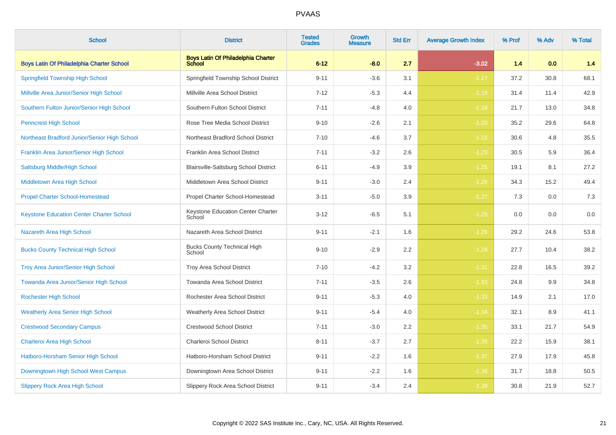| <b>School</b>                                    | <b>District</b>                                            | <b>Tested</b><br><b>Grades</b> | Growth<br><b>Measure</b> | <b>Std Err</b> | <b>Average Growth Index</b> | % Prof | % Adv | % Total |
|--------------------------------------------------|------------------------------------------------------------|--------------------------------|--------------------------|----------------|-----------------------------|--------|-------|---------|
| <b>Boys Latin Of Philadelphia Charter School</b> | <b>Boys Latin Of Philadelphia Charter</b><br><b>School</b> | $6 - 12$                       | $-8.0$                   | 2.7            | $-3.02$                     | 1.4    | 0.0   | 1.4     |
| <b>Springfield Township High School</b>          | Springfield Township School District                       | $9 - 11$                       | $-3.6$                   | 3.1            | $-1.17$                     | 37.2   | 30.8  | 68.1    |
| Millville Area Junior/Senior High School         | Millville Area School District                             | $7 - 12$                       | $-5.3$                   | 4.4            | $-1.19$                     | 31.4   | 11.4  | 42.9    |
| Southern Fulton Junior/Senior High School        | Southern Fulton School District                            | $7 - 11$                       | $-4.8$                   | 4.0            | $-1.19$                     | 21.7   | 13.0  | 34.8    |
| <b>Penncrest High School</b>                     | Rose Tree Media School District                            | $9 - 10$                       | $-2.6$                   | 2.1            | $-1.20$                     | 35.2   | 29.6  | 64.8    |
| Northeast Bradford Junior/Senior High School     | Northeast Bradford School District                         | $7 - 10$                       | $-4.6$                   | 3.7            | $-1.22$                     | 30.6   | 4.8   | 35.5    |
| Franklin Area Junior/Senior High School          | Franklin Area School District                              | $7 - 11$                       | $-3.2$                   | 2.6            | $-1.23$                     | 30.5   | 5.9   | 36.4    |
| <b>Saltsburg Middle/High School</b>              | Blairsville-Saltsburg School District                      | $6 - 11$                       | $-4.9$                   | 3.9            | $-1.25$                     | 19.1   | 8.1   | 27.2    |
| <b>Middletown Area High School</b>               | Middletown Area School District                            | $9 - 11$                       | $-3.0$                   | 2.4            | $-1.26$                     | 34.3   | 15.2  | 49.4    |
| <b>Propel Charter School-Homestead</b>           | Propel Charter School-Homestead                            | $3 - 11$                       | $-5.0$                   | 3.9            | $-1.27$                     | 7.3    | 0.0   | $7.3$   |
| <b>Keystone Education Center Charter School</b>  | Keystone Education Center Charter<br>School                | $3 - 12$                       | $-6.5$                   | 5.1            | $-1.28$                     | 0.0    | 0.0   | 0.0     |
| Nazareth Area High School                        | Nazareth Area School District                              | $9 - 11$                       | $-2.1$                   | 1.6            | $-1.28$                     | 29.2   | 24.6  | 53.8    |
| <b>Bucks County Technical High School</b>        | <b>Bucks County Technical High</b><br>School               | $9 - 10$                       | $-2.9$                   | 2.2            | $-1.29$                     | 27.7   | 10.4  | 38.2    |
| Troy Area Junior/Senior High School              | <b>Troy Area School District</b>                           | $7 - 10$                       | $-4.2$                   | 3.2            | $-1.31$                     | 22.8   | 16.5  | 39.2    |
| Towanda Area Junior/Senior High School           | Towanda Area School District                               | $7 - 11$                       | $-3.5$                   | 2.6            | $-1.33$                     | 24.8   | 9.9   | 34.8    |
| <b>Rochester High School</b>                     | Rochester Area School District                             | $9 - 11$                       | $-5.3$                   | 4.0            | $-1.33$                     | 14.9   | 2.1   | 17.0    |
| <b>Weatherly Area Senior High School</b>         | Weatherly Area School District                             | $9 - 11$                       | $-5.4$                   | 4.0            | $-1.34$                     | 32.1   | 8.9   | 41.1    |
| <b>Crestwood Secondary Campus</b>                | <b>Crestwood School District</b>                           | $7 - 11$                       | $-3.0$                   | 2.2            | $-1.35$                     | 33.1   | 21.7  | 54.9    |
| Charleroi Area High School                       | Charleroi School District                                  | $8 - 11$                       | $-3.7$                   | 2.7            | $-1.35$                     | 22.2   | 15.9  | 38.1    |
| Hatboro-Horsham Senior High School               | Hatboro-Horsham School District                            | $9 - 11$                       | $-2.2$                   | 1.6            | $-1.37$                     | 27.9   | 17.9  | 45.8    |
| Downingtown High School West Campus              | Downingtown Area School District                           | $9 - 11$                       | $-2.2$                   | 1.6            | $-1.38$                     | 31.7   | 18.8  | 50.5    |
| Slippery Rock Area High School                   | Slippery Rock Area School District                         | $9 - 11$                       | $-3.4$                   | 2.4            | $-1.39$                     | 30.8   | 21.9  | 52.7    |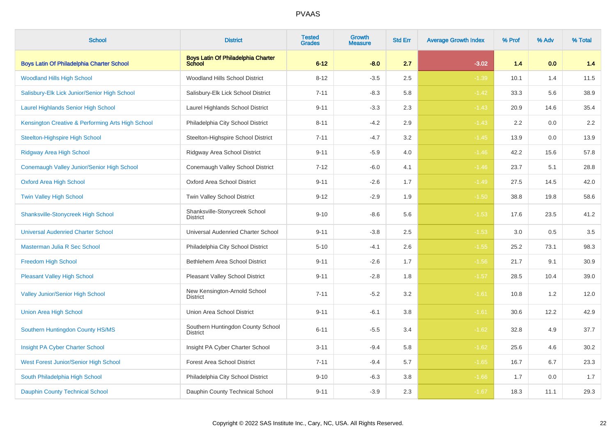| <b>School</b>                                     | <b>District</b>                                     | <b>Tested</b><br><b>Grades</b> | <b>Growth</b><br><b>Measure</b> | <b>Std Err</b> | <b>Average Growth Index</b> | % Prof           | % Adv | % Total |
|---------------------------------------------------|-----------------------------------------------------|--------------------------------|---------------------------------|----------------|-----------------------------|------------------|-------|---------|
| <b>Boys Latin Of Philadelphia Charter School</b>  | <b>Boys Latin Of Philadelphia Charter</b><br>School | $6 - 12$                       | $-8.0$                          | 2.7            | $-3.02$                     | 1.4              | 0.0   | 1.4     |
| <b>Woodland Hills High School</b>                 | Woodland Hills School District                      | $8 - 12$                       | $-3.5$                          | 2.5            | $-1.39$                     | 10.1             | 1.4   | 11.5    |
| Salisbury-Elk Lick Junior/Senior High School      | Salisbury-Elk Lick School District                  | $7 - 11$                       | $-8.3$                          | 5.8            | $-1.42$                     | 33.3             | 5.6   | 38.9    |
| <b>Laurel Highlands Senior High School</b>        | Laurel Highlands School District                    | $9 - 11$                       | $-3.3$                          | 2.3            | $-1.43$                     | 20.9             | 14.6  | 35.4    |
| Kensington Creative & Performing Arts High School | Philadelphia City School District                   | $8 - 11$                       | $-4.2$                          | 2.9            | $-1.43$                     | $2.2\phantom{0}$ | 0.0   | 2.2     |
| <b>Steelton-Highspire High School</b>             | Steelton-Highspire School District                  | $7 - 11$                       | $-4.7$                          | 3.2            | $-1.45$                     | 13.9             | 0.0   | 13.9    |
| Ridgway Area High School                          | Ridgway Area School District                        | $9 - 11$                       | $-5.9$                          | 4.0            | $-1.46$                     | 42.2             | 15.6  | 57.8    |
| Conemaugh Valley Junior/Senior High School        | Conemaugh Valley School District                    | $7 - 12$                       | $-6.0$                          | 4.1            | $-1.46$                     | 23.7             | 5.1   | 28.8    |
| <b>Oxford Area High School</b>                    | Oxford Area School District                         | $9 - 11$                       | $-2.6$                          | 1.7            | $-1.49$                     | 27.5             | 14.5  | 42.0    |
| <b>Twin Valley High School</b>                    | Twin Valley School District                         | $9 - 12$                       | $-2.9$                          | 1.9            | $-1.50$                     | 38.8             | 19.8  | 58.6    |
| Shanksville-Stonycreek High School                | Shanksville-Stonycreek School<br>District           | $9 - 10$                       | $-8.6$                          | 5.6            | $-1.53$                     | 17.6             | 23.5  | 41.2    |
| <b>Universal Audenried Charter School</b>         | Universal Audenried Charter School                  | $9 - 11$                       | $-3.8$                          | 2.5            | $-1.53$                     | 3.0              | 0.5   | 3.5     |
| Masterman Julia R Sec School                      | Philadelphia City School District                   | $5 - 10$                       | $-4.1$                          | 2.6            | $-1.55$                     | 25.2             | 73.1  | 98.3    |
| <b>Freedom High School</b>                        | Bethlehem Area School District                      | $9 - 11$                       | $-2.6$                          | 1.7            | $-1.56$                     | 21.7             | 9.1   | 30.9    |
| <b>Pleasant Valley High School</b>                | Pleasant Valley School District                     | $9 - 11$                       | $-2.8$                          | 1.8            | $-1.57$                     | 28.5             | 10.4  | 39.0    |
| Valley Junior/Senior High School                  | New Kensington-Arnold School<br><b>District</b>     | $7 - 11$                       | $-5.2$                          | 3.2            | $-1.61$                     | 10.8             | 1.2   | 12.0    |
| <b>Union Area High School</b>                     | Union Area School District                          | $9 - 11$                       | $-6.1$                          | 3.8            | $-1.61$                     | 30.6             | 12.2  | 42.9    |
| Southern Huntingdon County HS/MS                  | Southern Huntingdon County School<br>District       | $6 - 11$                       | $-5.5$                          | 3.4            | $-1.62$                     | 32.8             | 4.9   | 37.7    |
| Insight PA Cyber Charter School                   | Insight PA Cyber Charter School                     | $3 - 11$                       | $-9.4$                          | 5.8            | $-1.62$                     | 25.6             | 4.6   | 30.2    |
| West Forest Junior/Senior High School             | <b>Forest Area School District</b>                  | $7 - 11$                       | $-9.4$                          | 5.7            | $-1.65$                     | 16.7             | 6.7   | 23.3    |
| South Philadelphia High School                    | Philadelphia City School District                   | $9 - 10$                       | $-6.3$                          | 3.8            | $-1.66$                     | 1.7              | 0.0   | 1.7     |
| <b>Dauphin County Technical School</b>            | Dauphin County Technical School                     | $9 - 11$                       | $-3.9$                          | 2.3            | $-1.67$                     | 18.3             | 11.1  | 29.3    |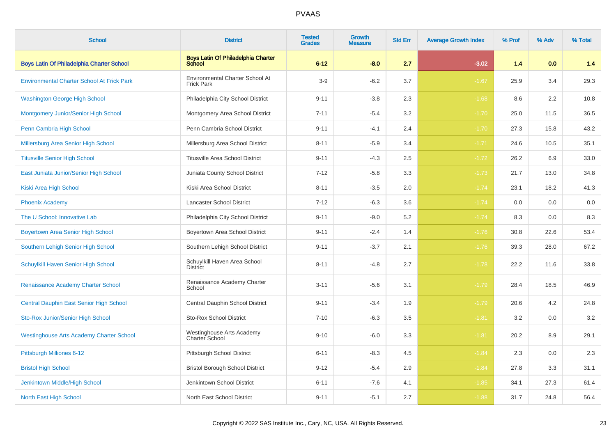| <b>School</b>                                     | <b>District</b>                                      | <b>Tested</b><br><b>Grades</b> | <b>Growth</b><br><b>Measure</b> | <b>Std Err</b> | <b>Average Growth Index</b> | % Prof | % Adv | % Total |
|---------------------------------------------------|------------------------------------------------------|--------------------------------|---------------------------------|----------------|-----------------------------|--------|-------|---------|
| <b>Boys Latin Of Philadelphia Charter School</b>  | <b>Boys Latin Of Philadelphia Charter</b><br>School  | $6 - 12$                       | $-8.0$                          | 2.7            | $-3.02$                     | 1.4    | 0.0   | 1.4     |
| <b>Environmental Charter School At Frick Park</b> | Environmental Charter School At<br><b>Frick Park</b> | $3-9$                          | $-6.2$                          | 3.7            | $-1.67$                     | 25.9   | 3.4   | 29.3    |
| <b>Washington George High School</b>              | Philadelphia City School District                    | $9 - 11$                       | $-3.8$                          | 2.3            | $-1.68$                     | 8.6    | 2.2   | 10.8    |
| Montgomery Junior/Senior High School              | Montgomery Area School District                      | $7 - 11$                       | $-5.4$                          | 3.2            | $-1.70$                     | 25.0   | 11.5  | 36.5    |
| Penn Cambria High School                          | Penn Cambria School District                         | $9 - 11$                       | $-4.1$                          | 2.4            | $-1.70$                     | 27.3   | 15.8  | 43.2    |
| Millersburg Area Senior High School               | Millersburg Area School District                     | $8 - 11$                       | $-5.9$                          | 3.4            | $-1.71$                     | 24.6   | 10.5  | 35.1    |
| <b>Titusville Senior High School</b>              | <b>Titusville Area School District</b>               | $9 - 11$                       | $-4.3$                          | 2.5            | $-1.72$                     | 26.2   | 6.9   | 33.0    |
| East Juniata Junior/Senior High School            | Juniata County School District                       | $7 - 12$                       | $-5.8$                          | 3.3            | $-1.73$                     | 21.7   | 13.0  | 34.8    |
| Kiski Area High School                            | Kiski Area School District                           | $8 - 11$                       | $-3.5$                          | 2.0            | $-1.74$                     | 23.1   | 18.2  | 41.3    |
| <b>Phoenix Academy</b>                            | Lancaster School District                            | $7 - 12$                       | $-6.3$                          | 3.6            | $-1.74$                     | 0.0    | 0.0   | 0.0     |
| The U School: Innovative Lab                      | Philadelphia City School District                    | $9 - 11$                       | $-9.0$                          | 5.2            | $-1.74$                     | 8.3    | 0.0   | 8.3     |
| <b>Boyertown Area Senior High School</b>          | Boyertown Area School District                       | $9 - 11$                       | $-2.4$                          | 1.4            | $-1.76$                     | 30.8   | 22.6  | 53.4    |
| Southern Lehigh Senior High School                | Southern Lehigh School District                      | $9 - 11$                       | $-3.7$                          | 2.1            | $-1.76$                     | 39.3   | 28.0  | 67.2    |
| Schuylkill Haven Senior High School               | Schuylkill Haven Area School<br><b>District</b>      | $8 - 11$                       | $-4.8$                          | 2.7            | $-1.78$                     | 22.2   | 11.6  | 33.8    |
| Renaissance Academy Charter School                | Renaissance Academy Charter<br>School                | $3 - 11$                       | $-5.6$                          | 3.1            | $-1.79$                     | 28.4   | 18.5  | 46.9    |
| <b>Central Dauphin East Senior High School</b>    | Central Dauphin School District                      | $9 - 11$                       | $-3.4$                          | 1.9            | $-1.79$                     | 20.6   | 4.2   | 24.8    |
| Sto-Rox Junior/Senior High School                 | <b>Sto-Rox School District</b>                       | $7 - 10$                       | $-6.3$                          | 3.5            | $-1.81$                     | 3.2    | 0.0   | 3.2     |
| <b>Westinghouse Arts Academy Charter School</b>   | Westinghouse Arts Academy<br>Charter School          | $9 - 10$                       | $-6.0$                          | 3.3            | $-1.81$                     | 20.2   | 8.9   | 29.1    |
| Pittsburgh Milliones 6-12                         | Pittsburgh School District                           | $6 - 11$                       | $-8.3$                          | 4.5            | $-1.84$                     | 2.3    | 0.0   | 2.3     |
| <b>Bristol High School</b>                        | <b>Bristol Borough School District</b>               | $9 - 12$                       | $-5.4$                          | 2.9            | $-1.84$                     | 27.8   | 3.3   | 31.1    |
| Jenkintown Middle/High School                     | Jenkintown School District                           | $6 - 11$                       | $-7.6$                          | 4.1            | $-1.85$                     | 34.1   | 27.3  | 61.4    |
| North East High School                            | North East School District                           | $9 - 11$                       | $-5.1$                          | 2.7            | $-1.88$                     | 31.7   | 24.8  | 56.4    |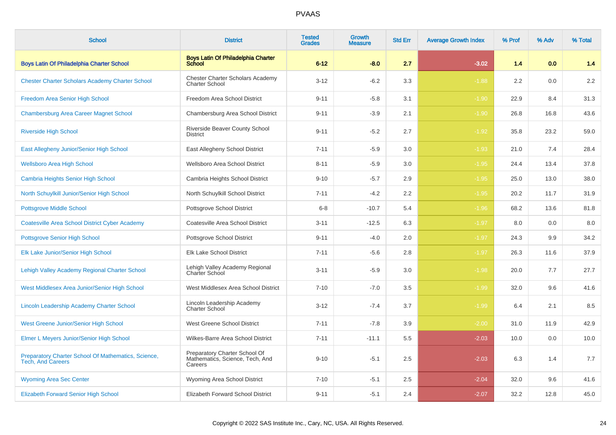| <b>School</b>                                                                   | <b>District</b>                                                             | <b>Tested</b><br><b>Grades</b> | <b>Growth</b><br><b>Measure</b> | <b>Std Err</b> | <b>Average Growth Index</b> | % Prof | % Adv | % Total |
|---------------------------------------------------------------------------------|-----------------------------------------------------------------------------|--------------------------------|---------------------------------|----------------|-----------------------------|--------|-------|---------|
| <b>Boys Latin Of Philadelphia Charter School</b>                                | <b>Boys Latin Of Philadelphia Charter</b><br><b>School</b>                  | $6 - 12$                       | $-8.0$                          | 2.7            | $-3.02$                     | 1.4    | 0.0   | 1.4     |
| <b>Chester Charter Scholars Academy Charter School</b>                          | <b>Chester Charter Scholars Academy</b><br><b>Charter School</b>            | $3 - 12$                       | $-6.2$                          | 3.3            | $-1.88$                     | 2.2    | 0.0   | $2.2\,$ |
| Freedom Area Senior High School                                                 | Freedom Area School District                                                | $9 - 11$                       | $-5.8$                          | 3.1            | $-1.90$                     | 22.9   | 8.4   | 31.3    |
| <b>Chambersburg Area Career Magnet School</b>                                   | Chambersburg Area School District                                           | $9 - 11$                       | $-3.9$                          | 2.1            | $-1.90$                     | 26.8   | 16.8  | 43.6    |
| <b>Riverside High School</b>                                                    | Riverside Beaver County School<br><b>District</b>                           | $9 - 11$                       | $-5.2$                          | 2.7            | $-1.92$                     | 35.8   | 23.2  | 59.0    |
| East Allegheny Junior/Senior High School                                        | East Allegheny School District                                              | $7 - 11$                       | $-5.9$                          | 3.0            | $-1.93$                     | 21.0   | 7.4   | 28.4    |
| <b>Wellsboro Area High School</b>                                               | Wellsboro Area School District                                              | $8 - 11$                       | $-5.9$                          | 3.0            | $-1.95$                     | 24.4   | 13.4  | 37.8    |
| <b>Cambria Heights Senior High School</b>                                       | Cambria Heights School District                                             | $9 - 10$                       | $-5.7$                          | 2.9            | $-1.95$                     | 25.0   | 13.0  | 38.0    |
| North Schuylkill Junior/Senior High School                                      | North Schuylkill School District                                            | $7 - 11$                       | $-4.2$                          | 2.2            | $-1.95$                     | 20.2   | 11.7  | 31.9    |
| <b>Pottsgrove Middle School</b>                                                 | Pottsgrove School District                                                  | $6 - 8$                        | $-10.7$                         | 5.4            | $-1.96$                     | 68.2   | 13.6  | 81.8    |
| <b>Coatesville Area School District Cyber Academy</b>                           | Coatesville Area School District                                            | $3 - 11$                       | $-12.5$                         | 6.3            | $-1.97$                     | 8.0    | 0.0   | 8.0     |
| <b>Pottsgrove Senior High School</b>                                            | <b>Pottsgrove School District</b>                                           | $9 - 11$                       | $-4.0$                          | 2.0            | $-1.97$                     | 24.3   | 9.9   | 34.2    |
| Elk Lake Junior/Senior High School                                              | Elk Lake School District                                                    | $7 - 11$                       | $-5.6$                          | 2.8            | $-1.97$                     | 26.3   | 11.6  | 37.9    |
| Lehigh Valley Academy Regional Charter School                                   | Lehigh Valley Academy Regional<br><b>Charter School</b>                     | $3 - 11$                       | $-5.9$                          | 3.0            | $-1.98$                     | 20.0   | 7.7   | 27.7    |
| West Middlesex Area Junior/Senior High School                                   | West Middlesex Area School District                                         | $7 - 10$                       | $-7.0$                          | 3.5            | $-1.99$                     | 32.0   | 9.6   | 41.6    |
| Lincoln Leadership Academy Charter School                                       | Lincoln Leadership Academy<br><b>Charter School</b>                         | $3 - 12$                       | $-7.4$                          | 3.7            | $-1.99$                     | 6.4    | 2.1   | 8.5     |
| West Greene Junior/Senior High School                                           | West Greene School District                                                 | $7 - 11$                       | $-7.8$                          | 3.9            | $-2.00$                     | 31.0   | 11.9  | 42.9    |
| Elmer L Meyers Junior/Senior High School                                        | Wilkes-Barre Area School District                                           | $7 - 11$                       | $-11.1$                         | 5.5            | $-2.03$                     | 10.0   | 0.0   | 10.0    |
| Preparatory Charter School Of Mathematics, Science,<br><b>Tech. And Careers</b> | Preparatory Charter School Of<br>Mathematics, Science, Tech, And<br>Careers | $9 - 10$                       | $-5.1$                          | 2.5            | $-2.03$                     | 6.3    | 1.4   | 7.7     |
| <b>Wyoming Area Sec Center</b>                                                  | Wyoming Area School District                                                | $7 - 10$                       | $-5.1$                          | 2.5            | $-2.04$                     | 32.0   | 9.6   | 41.6    |
| <b>Elizabeth Forward Senior High School</b>                                     | Elizabeth Forward School District                                           | $9 - 11$                       | $-5.1$                          | 2.4            | $-2.07$                     | 32.2   | 12.8  | 45.0    |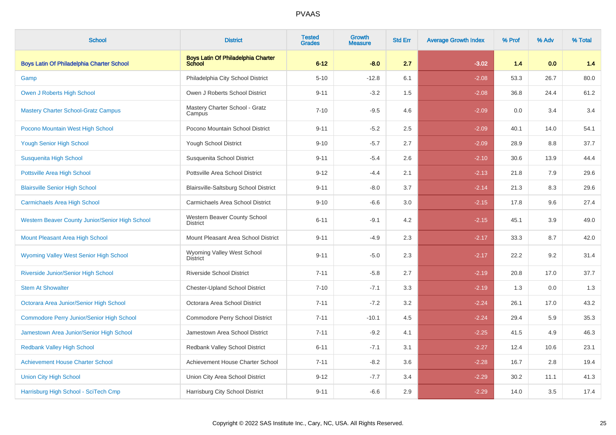| <b>School</b>                                   | <b>District</b>                                     | <b>Tested</b><br><b>Grades</b> | <b>Growth</b><br><b>Measure</b> | <b>Std Err</b> | <b>Average Growth Index</b> | % Prof | % Adv | % Total |
|-------------------------------------------------|-----------------------------------------------------|--------------------------------|---------------------------------|----------------|-----------------------------|--------|-------|---------|
| Boys Latin Of Philadelphia Charter School       | <b>Boys Latin Of Philadelphia Charter</b><br>School | $6 - 12$                       | $-8.0$                          | 2.7            | $-3.02$                     | 1.4    | 0.0   | 1.4     |
| Gamp                                            | Philadelphia City School District                   | $5 - 10$                       | $-12.8$                         | 6.1            | $-2.08$                     | 53.3   | 26.7  | 80.0    |
| Owen J Roberts High School                      | Owen J Roberts School District                      | $9 - 11$                       | $-3.2$                          | 1.5            | $-2.08$                     | 36.8   | 24.4  | 61.2    |
| <b>Mastery Charter School-Gratz Campus</b>      | Mastery Charter School - Gratz<br>Campus            | $7 - 10$                       | $-9.5$                          | 4.6            | $-2.09$                     | 0.0    | 3.4   | 3.4     |
| Pocono Mountain West High School                | Pocono Mountain School District                     | $9 - 11$                       | $-5.2$                          | 2.5            | $-2.09$                     | 40.1   | 14.0  | 54.1    |
| <b>Yough Senior High School</b>                 | Yough School District                               | $9 - 10$                       | $-5.7$                          | 2.7            | $-2.09$                     | 28.9   | 8.8   | 37.7    |
| <b>Susquenita High School</b>                   | Susquenita School District                          | $9 - 11$                       | $-5.4$                          | 2.6            | $-2.10$                     | 30.6   | 13.9  | 44.4    |
| Pottsville Area High School                     | Pottsville Area School District                     | $9 - 12$                       | $-4.4$                          | 2.1            | $-2.13$                     | 21.8   | 7.9   | 29.6    |
| <b>Blairsville Senior High School</b>           | Blairsville-Saltsburg School District               | $9 - 11$                       | $-8.0$                          | 3.7            | $-2.14$                     | 21.3   | 8.3   | 29.6    |
| <b>Carmichaels Area High School</b>             | Carmichaels Area School District                    | $9 - 10$                       | $-6.6$                          | 3.0            | $-2.15$                     | 17.8   | 9.6   | 27.4    |
| Western Beaver County Junior/Senior High School | Western Beaver County School<br><b>District</b>     | $6 - 11$                       | $-9.1$                          | 4.2            | $-2.15$                     | 45.1   | 3.9   | 49.0    |
| Mount Pleasant Area High School                 | Mount Pleasant Area School District                 | $9 - 11$                       | $-4.9$                          | 2.3            | $-2.17$                     | 33.3   | 8.7   | 42.0    |
| <b>Wyoming Valley West Senior High School</b>   | Wyoming Valley West School<br><b>District</b>       | $9 - 11$                       | $-5.0$                          | 2.3            | $-2.17$                     | 22.2   | 9.2   | 31.4    |
| Riverside Junior/Senior High School             | <b>Riverside School District</b>                    | $7 - 11$                       | $-5.8$                          | 2.7            | $-2.19$                     | 20.8   | 17.0  | 37.7    |
| <b>Stem At Showalter</b>                        | <b>Chester-Upland School District</b>               | $7 - 10$                       | $-7.1$                          | 3.3            | $-2.19$                     | 1.3    | 0.0   | 1.3     |
| Octorara Area Junior/Senior High School         | Octorara Area School District                       | $7 - 11$                       | $-7.2$                          | 3.2            | $-2.24$                     | 26.1   | 17.0  | 43.2    |
| Commodore Perry Junior/Senior High School       | Commodore Perry School District                     | $7 - 11$                       | $-10.1$                         | 4.5            | $-2.24$                     | 29.4   | 5.9   | 35.3    |
| Jamestown Area Junior/Senior High School        | Jamestown Area School District                      | $7 - 11$                       | $-9.2$                          | 4.1            | $-2.25$                     | 41.5   | 4.9   | 46.3    |
| <b>Redbank Valley High School</b>               | Redbank Valley School District                      | $6 - 11$                       | $-7.1$                          | 3.1            | $-2.27$                     | 12.4   | 10.6  | 23.1    |
| <b>Achievement House Charter School</b>         | Achievement House Charter School                    | $7 - 11$                       | $-8.2$                          | 3.6            | $-2.28$                     | 16.7   | 2.8   | 19.4    |
| <b>Union City High School</b>                   | Union City Area School District                     | $9 - 12$                       | $-7.7$                          | 3.4            | $-2.29$                     | 30.2   | 11.1  | 41.3    |
| Harrisburg High School - SciTech Cmp            | Harrisburg City School District                     | $9 - 11$                       | $-6.6$                          | 2.9            | $-2.29$                     | 14.0   | 3.5   | 17.4    |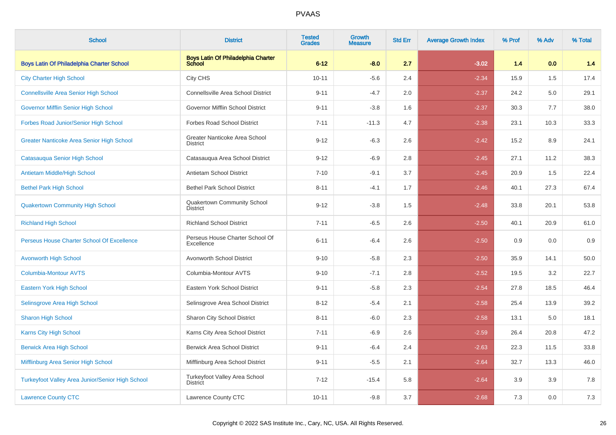| <b>School</b>                                    | <b>District</b>                                     | <b>Tested</b><br><b>Grades</b> | Growth<br><b>Measure</b> | <b>Std Err</b> | <b>Average Growth Index</b> | % Prof | % Adv | % Total |
|--------------------------------------------------|-----------------------------------------------------|--------------------------------|--------------------------|----------------|-----------------------------|--------|-------|---------|
| <b>Boys Latin Of Philadelphia Charter School</b> | <b>Boys Latin Of Philadelphia Charter</b><br>School | $6 - 12$                       | $-8.0$                   | 2.7            | $-3.02$                     | 1.4    | 0.0   | $1.4$   |
| <b>City Charter High School</b>                  | City CHS                                            | $10 - 11$                      | $-5.6$                   | 2.4            | $-2.34$                     | 15.9   | 1.5   | 17.4    |
| <b>Connellsville Area Senior High School</b>     | <b>Connellsville Area School District</b>           | $9 - 11$                       | $-4.7$                   | 2.0            | $-2.37$                     | 24.2   | 5.0   | 29.1    |
| <b>Governor Mifflin Senior High School</b>       | Governor Mifflin School District                    | $9 - 11$                       | $-3.8$                   | 1.6            | $-2.37$                     | 30.3   | 7.7   | 38.0    |
| Forbes Road Junior/Senior High School            | <b>Forbes Road School District</b>                  | $7 - 11$                       | $-11.3$                  | 4.7            | $-2.38$                     | 23.1   | 10.3  | 33.3    |
| <b>Greater Nanticoke Area Senior High School</b> | Greater Nanticoke Area School<br><b>District</b>    | $9 - 12$                       | $-6.3$                   | 2.6            | $-2.42$                     | 15.2   | 8.9   | 24.1    |
| Catasauqua Senior High School                    | Catasauqua Area School District                     | $9 - 12$                       | $-6.9$                   | 2.8            | $-2.45$                     | 27.1   | 11.2  | 38.3    |
| Antietam Middle/High School                      | Antietam School District                            | $7 - 10$                       | $-9.1$                   | 3.7            | $-2.45$                     | 20.9   | 1.5   | 22.4    |
| <b>Bethel Park High School</b>                   | <b>Bethel Park School District</b>                  | $8 - 11$                       | $-4.1$                   | 1.7            | $-2.46$                     | 40.1   | 27.3  | 67.4    |
| <b>Quakertown Community High School</b>          | Quakertown Community School<br><b>District</b>      | $9 - 12$                       | $-3.8$                   | 1.5            | $-2.48$                     | 33.8   | 20.1  | 53.8    |
| <b>Richland High School</b>                      | <b>Richland School District</b>                     | $7 - 11$                       | $-6.5$                   | 2.6            | $-2.50$                     | 40.1   | 20.9  | 61.0    |
| Perseus House Charter School Of Excellence       | Perseus House Charter School Of<br>Excellence       | $6 - 11$                       | $-6.4$                   | 2.6            | $-2.50$                     | 0.9    | 0.0   | 0.9     |
| <b>Avonworth High School</b>                     | Avonworth School District                           | $9 - 10$                       | $-5.8$                   | 2.3            | $-2.50$                     | 35.9   | 14.1  | 50.0    |
| <b>Columbia-Montour AVTS</b>                     | Columbia-Montour AVTS                               | $9 - 10$                       | $-7.1$                   | 2.8            | $-2.52$                     | 19.5   | 3.2   | 22.7    |
| <b>Eastern York High School</b>                  | Eastern York School District                        | $9 - 11$                       | $-5.8$                   | 2.3            | $-2.54$                     | 27.8   | 18.5  | 46.4    |
| Selinsgrove Area High School                     | Selinsgrove Area School District                    | $8 - 12$                       | $-5.4$                   | 2.1            | $-2.58$                     | 25.4   | 13.9  | 39.2    |
| <b>Sharon High School</b>                        | Sharon City School District                         | $8 - 11$                       | $-6.0$                   | 2.3            | $-2.58$                     | 13.1   | 5.0   | 18.1    |
| <b>Karns City High School</b>                    | Karns City Area School District                     | $7 - 11$                       | $-6.9$                   | 2.6            | $-2.59$                     | 26.4   | 20.8  | 47.2    |
| <b>Berwick Area High School</b>                  | <b>Berwick Area School District</b>                 | $9 - 11$                       | $-6.4$                   | 2.4            | $-2.63$                     | 22.3   | 11.5  | 33.8    |
| Mifflinburg Area Senior High School              | Mifflinburg Area School District                    | $9 - 11$                       | $-5.5$                   | 2.1            | $-2.64$                     | 32.7   | 13.3  | 46.0    |
| Turkeyfoot Valley Area Junior/Senior High School | Turkeyfoot Valley Area School<br><b>District</b>    | $7 - 12$                       | $-15.4$                  | 5.8            | $-2.64$                     | 3.9    | 3.9   | 7.8     |
| <b>Lawrence County CTC</b>                       | Lawrence County CTC                                 | $10 - 11$                      | $-9.8$                   | 3.7            | $-2.68$                     | 7.3    | 0.0   | 7.3     |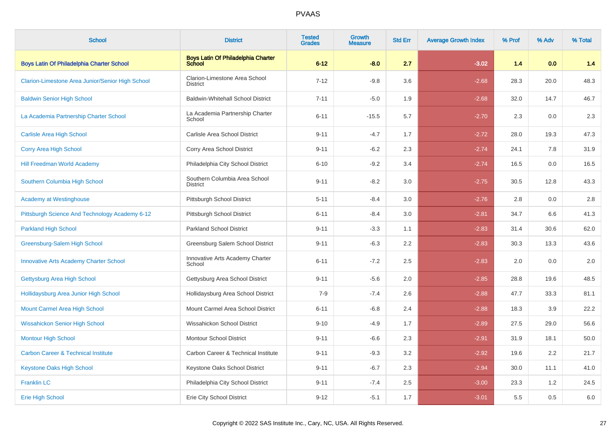| <b>School</b>                                    | <b>District</b>                                            | <b>Tested</b><br><b>Grades</b> | <b>Growth</b><br><b>Measure</b> | <b>Std Err</b> | <b>Average Growth Index</b> | % Prof | % Adv | % Total |
|--------------------------------------------------|------------------------------------------------------------|--------------------------------|---------------------------------|----------------|-----------------------------|--------|-------|---------|
| <b>Boys Latin Of Philadelphia Charter School</b> | <b>Boys Latin Of Philadelphia Charter</b><br><b>School</b> | $6 - 12$                       | $-8.0$                          | 2.7            | $-3.02$                     | 1.4    | 0.0   | 1.4     |
| Clarion-Limestone Area Junior/Senior High School | Clarion-Limestone Area School<br><b>District</b>           | $7 - 12$                       | $-9.8$                          | 3.6            | $-2.68$                     | 28.3   | 20.0  | 48.3    |
| <b>Baldwin Senior High School</b>                | <b>Baldwin-Whitehall School District</b>                   | $7 - 11$                       | $-5.0$                          | 1.9            | $-2.68$                     | 32.0   | 14.7  | 46.7    |
| La Academia Partnership Charter School           | La Academia Partnership Charter<br>School                  | $6 - 11$                       | $-15.5$                         | 5.7            | $-2.70$                     | 2.3    | 0.0   | 2.3     |
| <b>Carlisle Area High School</b>                 | Carlisle Area School District                              | $9 - 11$                       | $-4.7$                          | 1.7            | $-2.72$                     | 28.0   | 19.3  | 47.3    |
| <b>Corry Area High School</b>                    | Corry Area School District                                 | $9 - 11$                       | $-6.2$                          | 2.3            | $-2.74$                     | 24.1   | 7.8   | 31.9    |
| <b>Hill Freedman World Academy</b>               | Philadelphia City School District                          | $6 - 10$                       | $-9.2$                          | 3.4            | $-2.74$                     | 16.5   | 0.0   | 16.5    |
| Southern Columbia High School                    | Southern Columbia Area School<br><b>District</b>           | $9 - 11$                       | $-8.2$                          | 3.0            | $-2.75$                     | 30.5   | 12.8  | 43.3    |
| <b>Academy at Westinghouse</b>                   | Pittsburgh School District                                 | $5 - 11$                       | $-8.4$                          | 3.0            | $-2.76$                     | 2.8    | 0.0   | 2.8     |
| Pittsburgh Science And Technology Academy 6-12   | Pittsburgh School District                                 | $6 - 11$                       | $-8.4$                          | 3.0            | $-2.81$                     | 34.7   | 6.6   | 41.3    |
| <b>Parkland High School</b>                      | <b>Parkland School District</b>                            | $9 - 11$                       | $-3.3$                          | 1.1            | $-2.83$                     | 31.4   | 30.6  | 62.0    |
| Greensburg-Salem High School                     | Greensburg Salem School District                           | $9 - 11$                       | $-6.3$                          | 2.2            | $-2.83$                     | 30.3   | 13.3  | 43.6    |
| <b>Innovative Arts Academy Charter School</b>    | Innovative Arts Academy Charter<br>School                  | $6 - 11$                       | $-7.2$                          | 2.5            | $-2.83$                     | 2.0    | 0.0   | 2.0     |
| Gettysburg Area High School                      | Gettysburg Area School District                            | $9 - 11$                       | $-5.6$                          | 2.0            | $-2.85$                     | 28.8   | 19.6  | 48.5    |
| Hollidaysburg Area Junior High School            | Hollidaysburg Area School District                         | $7 - 9$                        | $-7.4$                          | 2.6            | $-2.88$                     | 47.7   | 33.3  | 81.1    |
| <b>Mount Carmel Area High School</b>             | Mount Carmel Area School District                          | $6 - 11$                       | $-6.8$                          | 2.4            | $-2.88$                     | 18.3   | 3.9   | 22.2    |
| <b>Wissahickon Senior High School</b>            | Wissahickon School District                                | $9 - 10$                       | $-4.9$                          | 1.7            | $-2.89$                     | 27.5   | 29.0  | 56.6    |
| <b>Montour High School</b>                       | Montour School District                                    | $9 - 11$                       | $-6.6$                          | 2.3            | $-2.91$                     | 31.9   | 18.1  | 50.0    |
| <b>Carbon Career &amp; Technical Institute</b>   | Carbon Career & Technical Institute                        | $9 - 11$                       | $-9.3$                          | 3.2            | $-2.92$                     | 19.6   | 2.2   | 21.7    |
| <b>Keystone Oaks High School</b>                 | Keystone Oaks School District                              | $9 - 11$                       | $-6.7$                          | 2.3            | $-2.94$                     | 30.0   | 11.1  | 41.0    |
| <b>Franklin LC</b>                               | Philadelphia City School District                          | $9 - 11$                       | $-7.4$                          | 2.5            | $-3.00$                     | 23.3   | 1.2   | 24.5    |
| <b>Erie High School</b>                          | Erie City School District                                  | $9 - 12$                       | $-5.1$                          | 1.7            | $-3.01$                     | 5.5    | 0.5   | 6.0     |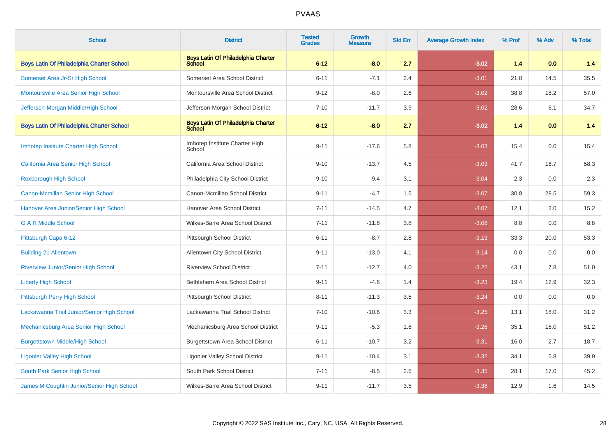| <b>School</b>                                    | <b>District</b>                                     | <b>Tested</b><br><b>Grades</b> | Growth<br><b>Measure</b> | <b>Std Err</b> | <b>Average Growth Index</b> | % Prof | % Adv | % Total |
|--------------------------------------------------|-----------------------------------------------------|--------------------------------|--------------------------|----------------|-----------------------------|--------|-------|---------|
| <b>Boys Latin Of Philadelphia Charter School</b> | <b>Boys Latin Of Philadelphia Charter</b><br>School | $6 - 12$                       | $-8.0$                   | 2.7            | $-3.02$                     | 1.4    | 0.0   | 1.4     |
| Somerset Area Jr-Sr High School                  | Somerset Area School District                       | $6 - 11$                       | $-7.1$                   | 2.4            | $-3.01$                     | 21.0   | 14.5  | 35.5    |
| Montoursville Area Senior High School            | Montoursville Area School District                  | $9 - 12$                       | $-8.0$                   | 2.6            | $-3.02$                     | 38.8   | 18.2  | 57.0    |
| Jefferson-Morgan Middle/High School              | Jefferson-Morgan School District                    | $7 - 10$                       | $-11.7$                  | 3.9            | $-3.02$                     | 28.6   | 6.1   | 34.7    |
| <b>Boys Latin Of Philadelphia Charter School</b> | <b>Boys Latin Of Philadelphia Charter</b><br>School | $6 - 12$                       | $-8.0$                   | 2.7            | $-3.02$                     | 1.4    | 0.0   | 1.4     |
| Imhotep Institute Charter High School            | Imhotep Institute Charter High<br>School            | $9 - 11$                       | $-17.6$                  | 5.8            | $-3.03$                     | 15.4   | 0.0   | 15.4    |
| California Area Senior High School               | California Area School District                     | $9 - 10$                       | $-13.7$                  | 4.5            | $-3.03$                     | 41.7   | 16.7  | 58.3    |
| <b>Roxborough High School</b>                    | Philadelphia City School District                   | $9 - 10$                       | $-9.4$                   | 3.1            | $-3.04$                     | 2.3    | 0.0   | 2.3     |
| Canon-Mcmillan Senior High School                | Canon-Mcmillan School District                      | $9 - 11$                       | $-4.7$                   | 1.5            | $-3.07$                     | 30.8   | 28.5  | 59.3    |
| Hanover Area Junior/Senior High School           | Hanover Area School District                        | $7 - 11$                       | $-14.5$                  | 4.7            | $-3.07$                     | 12.1   | 3.0   | 15.2    |
| <b>G A R Middle School</b>                       | Wilkes-Barre Area School District                   | $7 - 11$                       | $-11.8$                  | 3.8            | $-3.08$                     | 8.8    | 0.0   | 8.8     |
| Pittsburgh Capa 6-12                             | Pittsburgh School District                          | $6 - 11$                       | $-8.7$                   | 2.8            | $-3.13$                     | 33.3   | 20.0  | 53.3    |
| <b>Building 21 Allentown</b>                     | Allentown City School District                      | $9 - 11$                       | $-13.0$                  | 4.1            | $-3.14$                     | 0.0    | 0.0   | 0.0     |
| <b>Riverview Junior/Senior High School</b>       | <b>Riverview School District</b>                    | $7 - 11$                       | $-12.7$                  | 4.0            | $-3.22$                     | 43.1   | 7.8   | 51.0    |
| <b>Liberty High School</b>                       | Bethlehem Area School District                      | $9 - 11$                       | $-4.6$                   | 1.4            | $-3.23$                     | 19.4   | 12.9  | 32.3    |
| Pittsburgh Perry High School                     | Pittsburgh School District                          | $8 - 11$                       | $-11.3$                  | 3.5            | $-3.24$                     | 0.0    | 0.0   | 0.0     |
| Lackawanna Trail Junior/Senior High School       | Lackawanna Trail School District                    | $7 - 10$                       | $-10.6$                  | 3.3            | $-3.25$                     | 13.1   | 18.0  | 31.2    |
| Mechanicsburg Area Senior High School            | Mechanicsburg Area School District                  | $9 - 11$                       | $-5.3$                   | 1.6            | $-3.26$                     | 35.1   | 16.0  | 51.2    |
| <b>Burgettstown Middle/High School</b>           | <b>Burgettstown Area School District</b>            | $6 - 11$                       | $-10.7$                  | 3.2            | $-3.31$                     | 16.0   | 2.7   | 18.7    |
| <b>Ligonier Valley High School</b>               | Ligonier Valley School District                     | $9 - 11$                       | $-10.4$                  | 3.1            | $-3.32$                     | 34.1   | 5.8   | 39.9    |
| South Park Senior High School                    | South Park School District                          | $7 - 11$                       | $-8.5$                   | 2.5            | $-3.35$                     | 28.1   | 17.0  | 45.2    |
| James M Coughlin Junior/Senior High School       | Wilkes-Barre Area School District                   | $9 - 11$                       | $-11.7$                  | 3.5            | $-3.36$                     | 12.9   | 1.6   | 14.5    |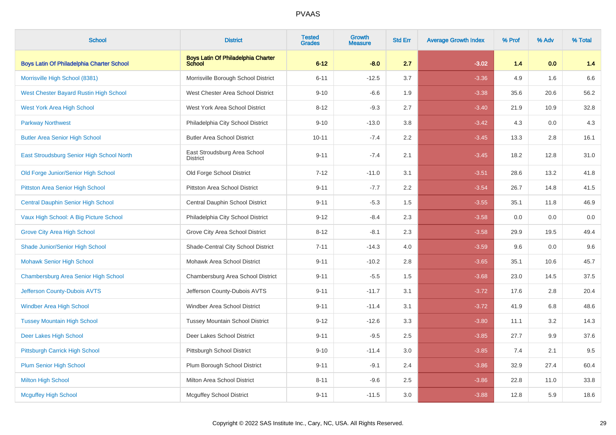| <b>School</b>                                    | <b>District</b>                                 | <b>Tested</b><br><b>Grades</b> | Growth<br><b>Measure</b> | <b>Std Err</b> | <b>Average Growth Index</b> | % Prof | % Adv | % Total |
|--------------------------------------------------|-------------------------------------------------|--------------------------------|--------------------------|----------------|-----------------------------|--------|-------|---------|
| <b>Boys Latin Of Philadelphia Charter School</b> | Boys Latin Of Philadelphia Charter              | $6 - 12$                       | $-8.0$                   | 2.7            | $-3.02$                     | 1.4    | 0.0   | 1.4     |
| Morrisville High School (8381)                   | Morrisville Borough School District             | $6 - 11$                       | $-12.5$                  | 3.7            | $-3.36$                     | 4.9    | 1.6   | 6.6     |
| West Chester Bayard Rustin High School           | West Chester Area School District               | $9 - 10$                       | $-6.6$                   | 1.9            | $-3.38$                     | 35.6   | 20.6  | 56.2    |
| <b>West York Area High School</b>                | West York Area School District                  | $8 - 12$                       | $-9.3$                   | 2.7            | $-3.40$                     | 21.9   | 10.9  | 32.8    |
| <b>Parkway Northwest</b>                         | Philadelphia City School District               | $9 - 10$                       | $-13.0$                  | 3.8            | $-3.42$                     | 4.3    | 0.0   | 4.3     |
| <b>Butler Area Senior High School</b>            | <b>Butler Area School District</b>              | $10 - 11$                      | $-7.4$                   | 2.2            | $-3.45$                     | 13.3   | 2.8   | 16.1    |
| East Stroudsburg Senior High School North        | East Stroudsburg Area School<br><b>District</b> | $9 - 11$                       | $-7.4$                   | 2.1            | $-3.45$                     | 18.2   | 12.8  | 31.0    |
| Old Forge Junior/Senior High School              | Old Forge School District                       | $7 - 12$                       | $-11.0$                  | 3.1            | $-3.51$                     | 28.6   | 13.2  | 41.8    |
| <b>Pittston Area Senior High School</b>          | Pittston Area School District                   | $9 - 11$                       | $-7.7$                   | 2.2            | $-3.54$                     | 26.7   | 14.8  | 41.5    |
| <b>Central Dauphin Senior High School</b>        | Central Dauphin School District                 | $9 - 11$                       | $-5.3$                   | 1.5            | $-3.55$                     | 35.1   | 11.8  | 46.9    |
| Vaux High School: A Big Picture School           | Philadelphia City School District               | $9 - 12$                       | $-8.4$                   | 2.3            | $-3.58$                     | 0.0    | 0.0   | $0.0\,$ |
| <b>Grove City Area High School</b>               | Grove City Area School District                 | $8 - 12$                       | $-8.1$                   | 2.3            | $-3.58$                     | 29.9   | 19.5  | 49.4    |
| <b>Shade Junior/Senior High School</b>           | Shade-Central City School District              | $7 - 11$                       | $-14.3$                  | 4.0            | $-3.59$                     | 9.6    | 0.0   | 9.6     |
| <b>Mohawk Senior High School</b>                 | Mohawk Area School District                     | $9 - 11$                       | $-10.2$                  | 2.8            | $-3.65$                     | 35.1   | 10.6  | 45.7    |
| Chambersburg Area Senior High School             | Chambersburg Area School District               | $9 - 11$                       | $-5.5$                   | 1.5            | $-3.68$                     | 23.0   | 14.5  | 37.5    |
| Jefferson County-Dubois AVTS                     | Jefferson County-Dubois AVTS                    | $9 - 11$                       | $-11.7$                  | 3.1            | $-3.72$                     | 17.6   | 2.8   | 20.4    |
| <b>Windber Area High School</b>                  | Windber Area School District                    | $9 - 11$                       | $-11.4$                  | 3.1            | $-3.72$                     | 41.9   | 6.8   | 48.6    |
| <b>Tussey Mountain High School</b>               | <b>Tussey Mountain School District</b>          | $9 - 12$                       | $-12.6$                  | 3.3            | $-3.80$                     | 11.1   | 3.2   | 14.3    |
| Deer Lakes High School                           | Deer Lakes School District                      | $9 - 11$                       | $-9.5$                   | 2.5            | $-3.85$                     | 27.7   | 9.9   | 37.6    |
| Pittsburgh Carrick High School                   | Pittsburgh School District                      | $9 - 10$                       | $-11.4$                  | 3.0            | $-3.85$                     | 7.4    | 2.1   | 9.5     |
| <b>Plum Senior High School</b>                   | Plum Borough School District                    | $9 - 11$                       | $-9.1$                   | 2.4            | $-3.86$                     | 32.9   | 27.4  | 60.4    |
| <b>Milton High School</b>                        | Milton Area School District                     | $8 - 11$                       | $-9.6$                   | 2.5            | $-3.86$                     | 22.8   | 11.0  | 33.8    |
| <b>Mcguffey High School</b>                      | <b>Mcguffey School District</b>                 | $9 - 11$                       | $-11.5$                  | 3.0            | $-3.88$                     | 12.8   | 5.9   | 18.6    |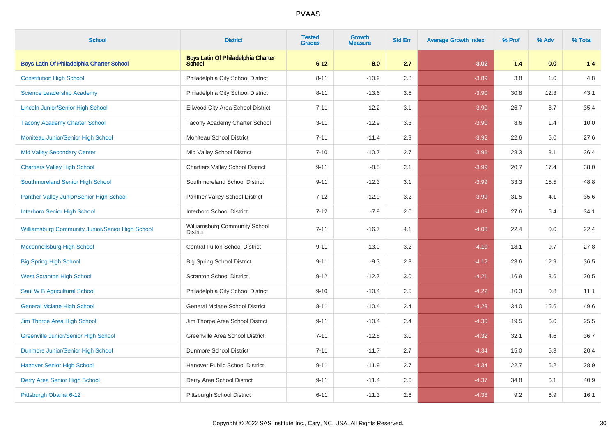| <b>School</b>                                    | <b>District</b>                                     | <b>Tested</b><br><b>Grades</b> | Growth<br><b>Measure</b> | <b>Std Err</b> | <b>Average Growth Index</b> | % Prof | % Adv | % Total |
|--------------------------------------------------|-----------------------------------------------------|--------------------------------|--------------------------|----------------|-----------------------------|--------|-------|---------|
| <b>Boys Latin Of Philadelphia Charter School</b> | <b>Boys Latin Of Philadelphia Charter</b><br>School | $6 - 12$                       | $-8.0$                   | 2.7            | $-3.02$                     | 1.4    | 0.0   | 1.4     |
| <b>Constitution High School</b>                  | Philadelphia City School District                   | $8 - 11$                       | $-10.9$                  | 2.8            | $-3.89$                     | 3.8    | 1.0   | $4.8\,$ |
| <b>Science Leadership Academy</b>                | Philadelphia City School District                   | $8 - 11$                       | $-13.6$                  | 3.5            | $-3.90$                     | 30.8   | 12.3  | 43.1    |
| <b>Lincoln Junior/Senior High School</b>         | Ellwood City Area School District                   | $7 - 11$                       | $-12.2$                  | 3.1            | $-3.90$                     | 26.7   | 8.7   | 35.4    |
| <b>Tacony Academy Charter School</b>             | <b>Tacony Academy Charter School</b>                | $3 - 11$                       | $-12.9$                  | 3.3            | $-3.90$                     | 8.6    | 1.4   | 10.0    |
| Moniteau Junior/Senior High School               | Moniteau School District                            | $7 - 11$                       | $-11.4$                  | 2.9            | $-3.92$                     | 22.6   | 5.0   | 27.6    |
| <b>Mid Valley Secondary Center</b>               | Mid Valley School District                          | $7 - 10$                       | $-10.7$                  | 2.7            | $-3.96$                     | 28.3   | 8.1   | 36.4    |
| <b>Chartiers Valley High School</b>              | <b>Chartiers Valley School District</b>             | $9 - 11$                       | $-8.5$                   | 2.1            | $-3.99$                     | 20.7   | 17.4  | 38.0    |
| Southmoreland Senior High School                 | Southmoreland School District                       | $9 - 11$                       | $-12.3$                  | 3.1            | $-3.99$                     | 33.3   | 15.5  | 48.8    |
| Panther Valley Junior/Senior High School         | Panther Valley School District                      | $7 - 12$                       | $-12.9$                  | 3.2            | $-3.99$                     | 31.5   | 4.1   | 35.6    |
| <b>Interboro Senior High School</b>              | Interboro School District                           | $7 - 12$                       | $-7.9$                   | 2.0            | $-4.03$                     | 27.6   | 6.4   | 34.1    |
| Williamsburg Community Junior/Senior High School | Williamsburg Community School<br><b>District</b>    | $7 - 11$                       | $-16.7$                  | 4.1            | $-4.08$                     | 22.4   | 0.0   | 22.4    |
| <b>Mcconnellsburg High School</b>                | Central Fulton School District                      | $9 - 11$                       | $-13.0$                  | 3.2            | $-4.10$                     | 18.1   | 9.7   | 27.8    |
| <b>Big Spring High School</b>                    | <b>Big Spring School District</b>                   | $9 - 11$                       | $-9.3$                   | 2.3            | $-4.12$                     | 23.6   | 12.9  | 36.5    |
| <b>West Scranton High School</b>                 | <b>Scranton School District</b>                     | $9 - 12$                       | $-12.7$                  | 3.0            | $-4.21$                     | 16.9   | 3.6   | 20.5    |
| Saul W B Agricultural School                     | Philadelphia City School District                   | $9 - 10$                       | $-10.4$                  | 2.5            | $-4.22$                     | 10.3   | 0.8   | 11.1    |
| <b>General Mclane High School</b>                | <b>General Mclane School District</b>               | $8 - 11$                       | $-10.4$                  | 2.4            | $-4.28$                     | 34.0   | 15.6  | 49.6    |
| Jim Thorpe Area High School                      | Jim Thorpe Area School District                     | $9 - 11$                       | $-10.4$                  | 2.4            | $-4.30$                     | 19.5   | 6.0   | 25.5    |
| <b>Greenville Junior/Senior High School</b>      | Greenville Area School District                     | $7 - 11$                       | $-12.8$                  | 3.0            | $-4.32$                     | 32.1   | 4.6   | 36.7    |
| Dunmore Junior/Senior High School                | <b>Dunmore School District</b>                      | $7 - 11$                       | $-11.7$                  | 2.7            | $-4.34$                     | 15.0   | 5.3   | 20.4    |
| <b>Hanover Senior High School</b>                | Hanover Public School District                      | $9 - 11$                       | $-11.9$                  | 2.7            | $-4.34$                     | 22.7   | 6.2   | 28.9    |
| Derry Area Senior High School                    | Derry Area School District                          | $9 - 11$                       | $-11.4$                  | 2.6            | $-4.37$                     | 34.8   | 6.1   | 40.9    |
| Pittsburgh Obama 6-12                            | Pittsburgh School District                          | $6 - 11$                       | $-11.3$                  | 2.6            | $-4.38$                     | 9.2    | 6.9   | 16.1    |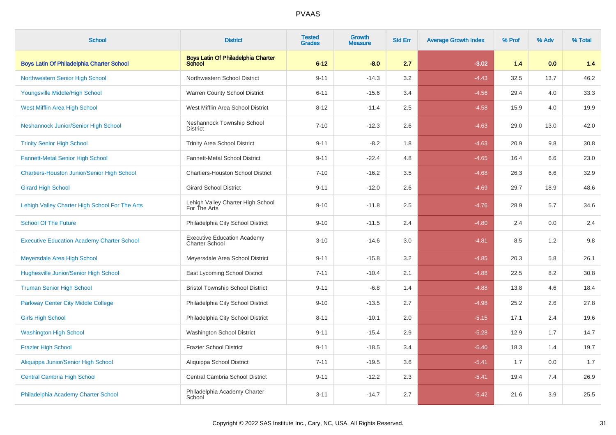| <b>School</b>                                      | <b>District</b>                                             | <b>Tested</b><br><b>Grades</b> | <b>Growth</b><br><b>Measure</b> | <b>Std Err</b> | <b>Average Growth Index</b> | % Prof | % Adv | % Total |
|----------------------------------------------------|-------------------------------------------------------------|--------------------------------|---------------------------------|----------------|-----------------------------|--------|-------|---------|
| Boys Latin Of Philadelphia Charter School          | <b>Boys Latin Of Philadelphia Charter</b><br>School         | $6 - 12$                       | $-8.0$                          | 2.7            | $-3.02$                     | 1.4    | 0.0   | 1.4     |
| <b>Northwestern Senior High School</b>             | Northwestern School District                                | $9 - 11$                       | $-14.3$                         | 3.2            | $-4.43$                     | 32.5   | 13.7  | 46.2    |
| Youngsville Middle/High School                     | Warren County School District                               | $6 - 11$                       | $-15.6$                         | 3.4            | $-4.56$                     | 29.4   | 4.0   | 33.3    |
| West Mifflin Area High School                      | West Mifflin Area School District                           | $8 - 12$                       | $-11.4$                         | 2.5            | $-4.58$                     | 15.9   | 4.0   | 19.9    |
| Neshannock Junior/Senior High School               | Neshannock Township School<br><b>District</b>               | $7 - 10$                       | $-12.3$                         | 2.6            | $-4.63$                     | 29.0   | 13.0  | 42.0    |
| <b>Trinity Senior High School</b>                  | <b>Trinity Area School District</b>                         | $9 - 11$                       | $-8.2$                          | 1.8            | $-4.63$                     | 20.9   | 9.8   | 30.8    |
| <b>Fannett-Metal Senior High School</b>            | Fannett-Metal School District                               | $9 - 11$                       | $-22.4$                         | 4.8            | $-4.65$                     | 16.4   | 6.6   | 23.0    |
| <b>Chartiers-Houston Junior/Senior High School</b> | <b>Chartiers-Houston School District</b>                    | $7 - 10$                       | $-16.2$                         | 3.5            | $-4.68$                     | 26.3   | 6.6   | 32.9    |
| <b>Girard High School</b>                          | <b>Girard School District</b>                               | $9 - 11$                       | $-12.0$                         | 2.6            | $-4.69$                     | 29.7   | 18.9  | 48.6    |
| Lehigh Valley Charter High School For The Arts     | Lehigh Valley Charter High School<br>For The Arts           | $9 - 10$                       | $-11.8$                         | 2.5            | $-4.76$                     | 28.9   | 5.7   | 34.6    |
| <b>School Of The Future</b>                        | Philadelphia City School District                           | $9 - 10$                       | $-11.5$                         | 2.4            | $-4.80$                     | 2.4    | 0.0   | 2.4     |
| <b>Executive Education Academy Charter School</b>  | <b>Executive Education Academy</b><br><b>Charter School</b> | $3 - 10$                       | $-14.6$                         | 3.0            | $-4.81$                     | 8.5    | 1.2   | 9.8     |
| Meyersdale Area High School                        | Meyersdale Area School District                             | $9 - 11$                       | $-15.8$                         | 3.2            | $-4.85$                     | 20.3   | 5.8   | 26.1    |
| Hughesville Junior/Senior High School              | East Lycoming School District                               | $7 - 11$                       | $-10.4$                         | 2.1            | $-4.88$                     | 22.5   | 8.2   | 30.8    |
| <b>Truman Senior High School</b>                   | <b>Bristol Township School District</b>                     | $9 - 11$                       | $-6.8$                          | 1.4            | $-4.88$                     | 13.8   | 4.6   | 18.4    |
| Parkway Center City Middle College                 | Philadelphia City School District                           | $9 - 10$                       | $-13.5$                         | 2.7            | $-4.98$                     | 25.2   | 2.6   | 27.8    |
| <b>Girls High School</b>                           | Philadelphia City School District                           | $8 - 11$                       | $-10.1$                         | 2.0            | $-5.15$                     | 17.1   | 2.4   | 19.6    |
| <b>Washington High School</b>                      | Washington School District                                  | $9 - 11$                       | $-15.4$                         | 2.9            | $-5.28$                     | 12.9   | 1.7   | 14.7    |
| <b>Frazier High School</b>                         | <b>Frazier School District</b>                              | $9 - 11$                       | $-18.5$                         | 3.4            | $-5.40$                     | 18.3   | 1.4   | 19.7    |
| Aliquippa Junior/Senior High School                | Aliquippa School District                                   | $7 - 11$                       | $-19.5$                         | 3.6            | $-5.41$                     | 1.7    | 0.0   | 1.7     |
| <b>Central Cambria High School</b>                 | Central Cambria School District                             | $9 - 11$                       | $-12.2$                         | 2.3            | $-5.41$                     | 19.4   | 7.4   | 26.9    |
| Philadelphia Academy Charter School                | Philadelphia Academy Charter<br>School                      | $3 - 11$                       | $-14.7$                         | 2.7            | $-5.42$                     | 21.6   | 3.9   | 25.5    |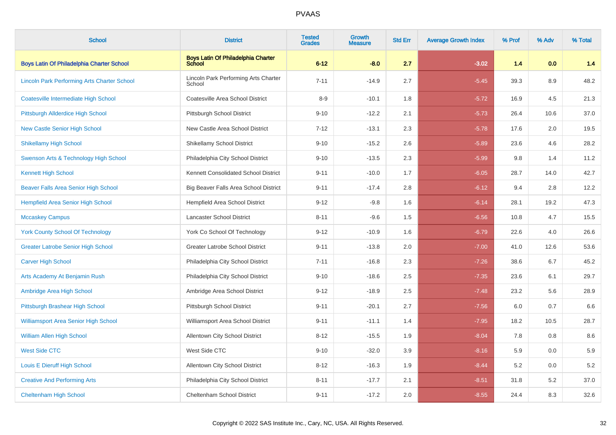| <b>School</b>                                      | <b>District</b>                                     | <b>Tested</b><br><b>Grades</b> | <b>Growth</b><br><b>Measure</b> | <b>Std Err</b> | <b>Average Growth Index</b> | % Prof | % Adv | % Total |
|----------------------------------------------------|-----------------------------------------------------|--------------------------------|---------------------------------|----------------|-----------------------------|--------|-------|---------|
| <b>Boys Latin Of Philadelphia Charter School</b>   | <b>Boys Latin Of Philadelphia Charter</b><br>School | $6 - 12$                       | $-8.0$                          | 2.7            | $-3.02$                     | 1.4    | 0.0   | 1.4     |
| <b>Lincoln Park Performing Arts Charter School</b> | Lincoln Park Performing Arts Charter<br>School      | $7 - 11$                       | $-14.9$                         | 2.7            | $-5.45$                     | 39.3   | 8.9   | 48.2    |
| Coatesville Intermediate High School               | Coatesville Area School District                    | $8 - 9$                        | $-10.1$                         | 1.8            | $-5.72$                     | 16.9   | 4.5   | 21.3    |
| Pittsburgh Allderdice High School                  | Pittsburgh School District                          | $9 - 10$                       | $-12.2$                         | 2.1            | $-5.73$                     | 26.4   | 10.6  | 37.0    |
| <b>New Castle Senior High School</b>               | New Castle Area School District                     | $7 - 12$                       | $-13.1$                         | 2.3            | $-5.78$                     | 17.6   | 2.0   | 19.5    |
| <b>Shikellamy High School</b>                      | <b>Shikellamy School District</b>                   | $9 - 10$                       | $-15.2$                         | 2.6            | $-5.89$                     | 23.6   | 4.6   | 28.2    |
| Swenson Arts & Technology High School              | Philadelphia City School District                   | $9 - 10$                       | $-13.5$                         | 2.3            | $-5.99$                     | 9.8    | 1.4   | 11.2    |
| <b>Kennett High School</b>                         | Kennett Consolidated School District                | $9 - 11$                       | $-10.0$                         | 1.7            | $-6.05$                     | 28.7   | 14.0  | 42.7    |
| Beaver Falls Area Senior High School               | Big Beaver Falls Area School District               | $9 - 11$                       | $-17.4$                         | 2.8            | $-6.12$                     | 9.4    | 2.8   | 12.2    |
| <b>Hempfield Area Senior High School</b>           | Hempfield Area School District                      | $9 - 12$                       | $-9.8$                          | 1.6            | $-6.14$                     | 28.1   | 19.2  | 47.3    |
| <b>Mccaskey Campus</b>                             | Lancaster School District                           | $8 - 11$                       | $-9.6$                          | 1.5            | $-6.56$                     | 10.8   | 4.7   | 15.5    |
| <b>York County School Of Technology</b>            | York Co School Of Technology                        | $9 - 12$                       | $-10.9$                         | 1.6            | $-6.79$                     | 22.6   | 4.0   | 26.6    |
| <b>Greater Latrobe Senior High School</b>          | <b>Greater Latrobe School District</b>              | $9 - 11$                       | $-13.8$                         | 2.0            | $-7.00$                     | 41.0   | 12.6  | 53.6    |
| <b>Carver High School</b>                          | Philadelphia City School District                   | $7 - 11$                       | $-16.8$                         | 2.3            | $-7.26$                     | 38.6   | 6.7   | 45.2    |
| Arts Academy At Benjamin Rush                      | Philadelphia City School District                   | $9 - 10$                       | $-18.6$                         | 2.5            | $-7.35$                     | 23.6   | 6.1   | 29.7    |
| Ambridge Area High School                          | Ambridge Area School District                       | $9 - 12$                       | $-18.9$                         | 2.5            | $-7.48$                     | 23.2   | 5.6   | 28.9    |
| Pittsburgh Brashear High School                    | Pittsburgh School District                          | $9 - 11$                       | $-20.1$                         | 2.7            | $-7.56$                     | 6.0    | 0.7   | 6.6     |
| <b>Williamsport Area Senior High School</b>        | Williamsport Area School District                   | $9 - 11$                       | $-11.1$                         | 1.4            | $-7.95$                     | 18.2   | 10.5  | 28.7    |
| <b>William Allen High School</b>                   | Allentown City School District                      | $8 - 12$                       | $-15.5$                         | 1.9            | $-8.04$                     | 7.8    | 0.8   | 8.6     |
| <b>West Side CTC</b>                               | West Side CTC                                       | $9 - 10$                       | $-32.0$                         | 3.9            | $-8.16$                     | 5.9    | 0.0   | 5.9     |
| Louis E Dieruff High School                        | Allentown City School District                      | $8 - 12$                       | $-16.3$                         | 1.9            | $-8.44$                     | 5.2    | 0.0   | 5.2     |
| <b>Creative And Performing Arts</b>                | Philadelphia City School District                   | $8 - 11$                       | $-17.7$                         | 2.1            | $-8.51$                     | 31.8   | 5.2   | 37.0    |
| <b>Cheltenham High School</b>                      | <b>Cheltenham School District</b>                   | $9 - 11$                       | $-17.2$                         | 2.0            | $-8.55$                     | 24.4   | 8.3   | 32.6    |